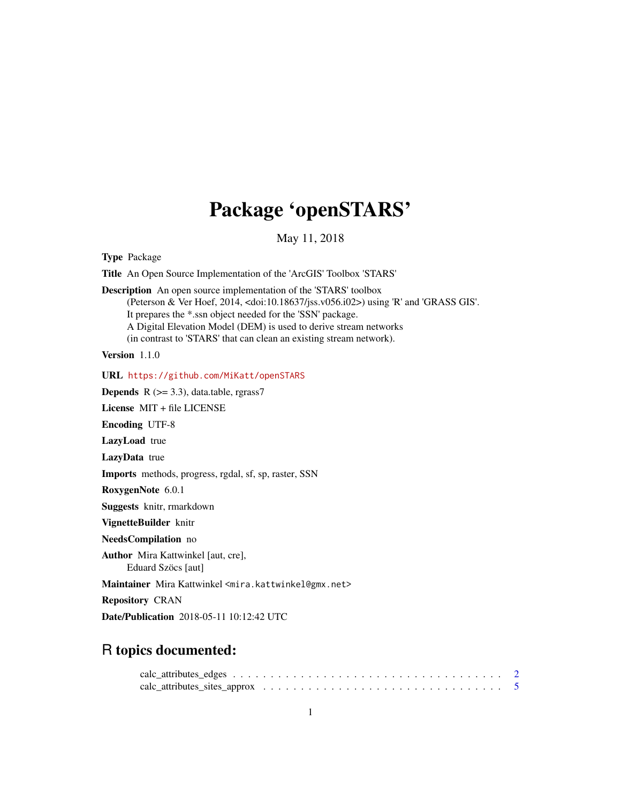# Package 'openSTARS'

May 11, 2018

<span id="page-0-0"></span>Type Package

Title An Open Source Implementation of the 'ArcGIS' Toolbox 'STARS'

Description An open source implementation of the 'STARS' toolbox (Peterson & Ver Hoef, 2014, <doi:10.18637/jss.v056.i02>) using 'R' and 'GRASS GIS'. It prepares the \*.ssn object needed for the 'SSN' package. A Digital Elevation Model (DEM) is used to derive stream networks (in contrast to 'STARS' that can clean an existing stream network).

Version 1.1.0

URL <https://github.com/MiKatt/openSTARS>

**Depends** R  $(>= 3.3)$ , data.table, rgrass7

License MIT + file LICENSE

Encoding UTF-8

LazyLoad true

LazyData true

Imports methods, progress, rgdal, sf, sp, raster, SSN

RoxygenNote 6.0.1

Suggests knitr, rmarkdown

VignetteBuilder knitr

NeedsCompilation no

Author Mira Kattwinkel [aut, cre], Eduard Szöcs [aut]

Maintainer Mira Kattwinkel <mira.kattwinkel@gmx.net>

Repository CRAN

Date/Publication 2018-05-11 10:12:42 UTC

# R topics documented:

| $calc_{{\text{}}=$ attributes $_{\text{}}=$ edges $$ |  |  |  |  |  |  |  |  |  |  |  |  |  |  |  |
|------------------------------------------------------|--|--|--|--|--|--|--|--|--|--|--|--|--|--|--|
|                                                      |  |  |  |  |  |  |  |  |  |  |  |  |  |  |  |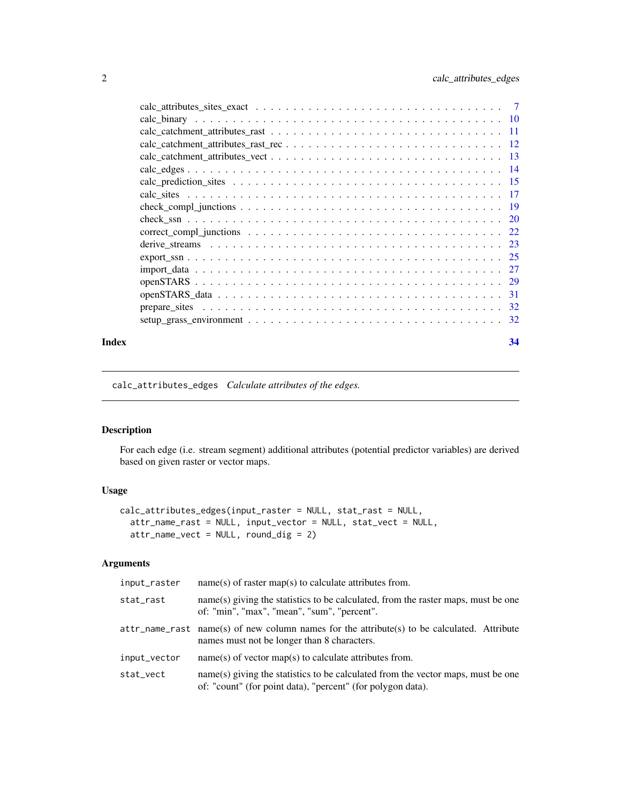<span id="page-1-0"></span>

#### **Index** [34](#page-33-0)

<span id="page-1-1"></span>calc\_attributes\_edges *Calculate attributes of the edges.*

# Description

For each edge (i.e. stream segment) additional attributes (potential predictor variables) are derived based on given raster or vector maps.

# Usage

```
calc_attributes_edges(input_raster = NULL, stat_rast = NULL,
 attr_name_rast = NULL, input_vector = NULL, stat_vect = NULL,
 attr_name_vect = NULL, round_dig = 2)
```
# Arguments

| input_raster | $name(s)$ of raster map(s) to calculate attributes from.                                                                                        |
|--------------|-------------------------------------------------------------------------------------------------------------------------------------------------|
| stat_rast    | name(s) giving the statistics to be calculated, from the raster maps, must be one<br>of: "min", "max", "mean", "sum", "percent".                |
|              | $attr_name\_rast$ name(s) of new column names for the attribute(s) to be calculated. Attribute<br>names must not be longer than 8 characters.   |
| input_vector | $name(s)$ of vector map(s) to calculate attributes from.                                                                                        |
| stat_vect    | name(s) giving the statistics to be calculated from the vector maps, must be one<br>of: "count" (for point data), "percent" (for polygon data). |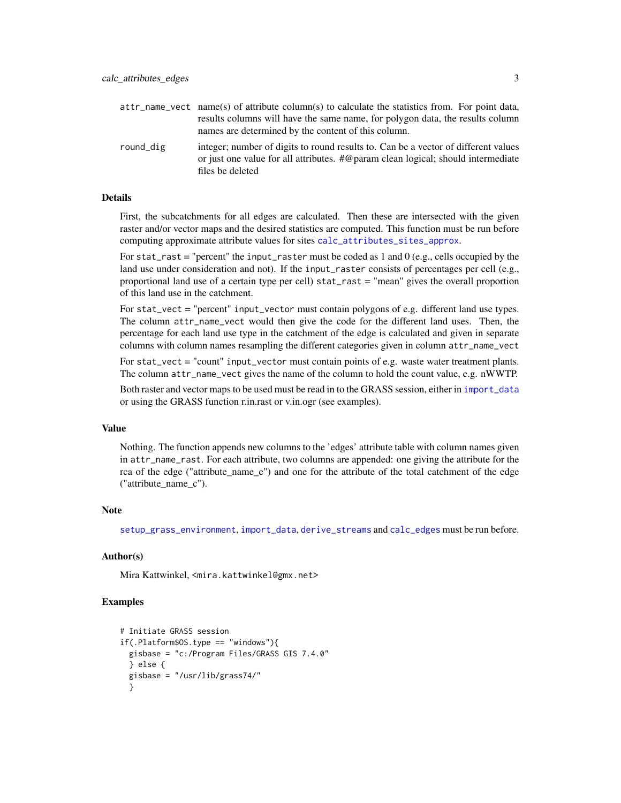<span id="page-2-0"></span>

|           | attr_name_vect_name(s) of attribute column(s) to calculate the statistics from. For point data,                                                                                                     |
|-----------|-----------------------------------------------------------------------------------------------------------------------------------------------------------------------------------------------------|
|           | results columns will have the same name, for polygon data, the results column                                                                                                                       |
|           | names are determined by the content of this column.                                                                                                                                                 |
| round_dig | integer; number of digits to round results to. Can be a vector of different values<br>or just one value for all attributes. $\#\omega$ param clean logical; should intermediate<br>files be deleted |

#### Details

First, the subcatchments for all edges are calculated. Then these are intersected with the given raster and/or vector maps and the desired statistics are computed. This function must be run before computing approximate attribute values for sites [calc\\_attributes\\_sites\\_approx](#page-4-1).

For stat\_rast = "percent" the input\_raster must be coded as  $1$  and  $0$  (e.g., cells occupied by the land use under consideration and not). If the input\_raster consists of percentages per cell (e.g., proportional land use of a certain type per cell) stat\_rast = "mean" gives the overall proportion of this land use in the catchment.

For stat\_vect = "percent" input\_vector must contain polygons of e.g. different land use types. The column attr\_name\_vect would then give the code for the different land uses. Then, the percentage for each land use type in the catchment of the edge is calculated and given in separate columns with column names resampling the different categories given in column attr\_name\_vect

For stat\_vect = "count" input\_vector must contain points of e.g. waste water treatment plants. The column attr\_name\_vect gives the name of the column to hold the count value, e.g. nWWTP.

Both raster and vector maps to be used must be read in to the GRASS session, either in [import\\_data](#page-26-1) or using the GRASS function r.in.rast or v.in.ogr (see examples).

# Value

Nothing. The function appends new columns to the 'edges' attribute table with column names given in attr\_name\_rast. For each attribute, two columns are appended: one giving the attribute for the rca of the edge ("attribute\_name\_e") and one for the attribute of the total catchment of the edge ("attribute\_name\_c").

#### Note

[setup\\_grass\\_environment](#page-31-1), [import\\_data](#page-26-1), [derive\\_streams](#page-22-1) and [calc\\_edges](#page-13-1) must be run before.

# Author(s)

Mira Kattwinkel, <mira.kattwinkel@gmx.net>

```
# Initiate GRASS session
if(.Platform$OS.type == "windows"){
 gisbase = "c:/Program Files/GRASS GIS 7.4.0"
 } else {
 gisbase = "/usr/lib/grass74/"
 }
```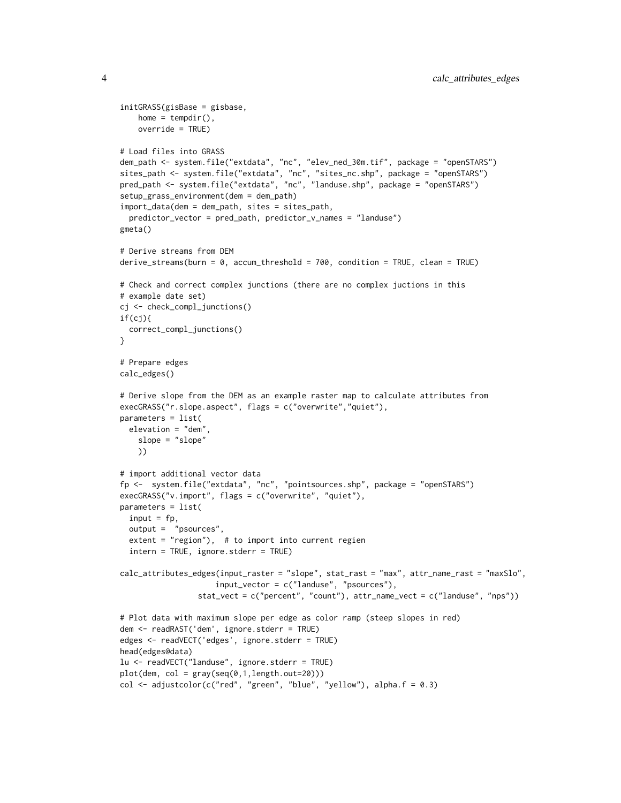```
initGRASS(gisBase = gisbase,
   home = tempdir(),
   override = TRUE)
# Load files into GRASS
dem_path <- system.file("extdata", "nc", "elev_ned_30m.tif", package = "openSTARS")
sites_path <- system.file("extdata", "nc", "sites_nc.shp", package = "openSTARS")
pred_path <- system.file("extdata", "nc", "landuse.shp", package = "openSTARS")
setup_grass_environment(dem = dem_path)
import_data(dem = dem_path, sites = sites_path,
 predictor_vector = pred_path, predictor_v_names = "landuse")
gmeta()
# Derive streams from DEM
derive_streams(burn = 0, accum_threshold = 700, condition = TRUE, clean = TRUE)
# Check and correct complex junctions (there are no complex juctions in this
# example date set)
cj <- check_compl_junctions()
if(cj){
 correct_compl_junctions()
\lambda# Prepare edges
calc_edges()
# Derive slope from the DEM as an example raster map to calculate attributes from
execGRASS("r.slope.aspect", flags = c("overwrite","quiet"),
parameters = list(
 elevation = "dem",
   slope = "slope"
   ))
# import additional vector data
fp <- system.file("extdata", "nc", "pointsources.shp", package = "openSTARS")
execGRASS("v.import", flags = c("overwrite", "quiet"),
parameters = list(
 input = fp,
 output = "psources",
 extent = "region"), # to import into current regionintern = TRUE, ignore.stderr = TRUE)
calc_attributes_edges(input_raster = "slope", stat_rast = "max", attr_name_rast = "maxSlo",
                     input_vector = c("landuse", "psources"),
                 stat_vect = c("percent", "count"), attr_name_vect = c("landuse", "nps"))
# Plot data with maximum slope per edge as color ramp (steep slopes in red)
dem <- readRAST('dem', ignore.stderr = TRUE)
edges <- readVECT('edges', ignore.stderr = TRUE)
head(edges@data)
lu <- readVECT("landuse", ignore.stderr = TRUE)
plot(dem, col = gray(seq(0,1, length.out=20)))col \leq -\text{adjustcolor}(c("red", "green", "blue", "yellow"), alpha.f = 0.3)
```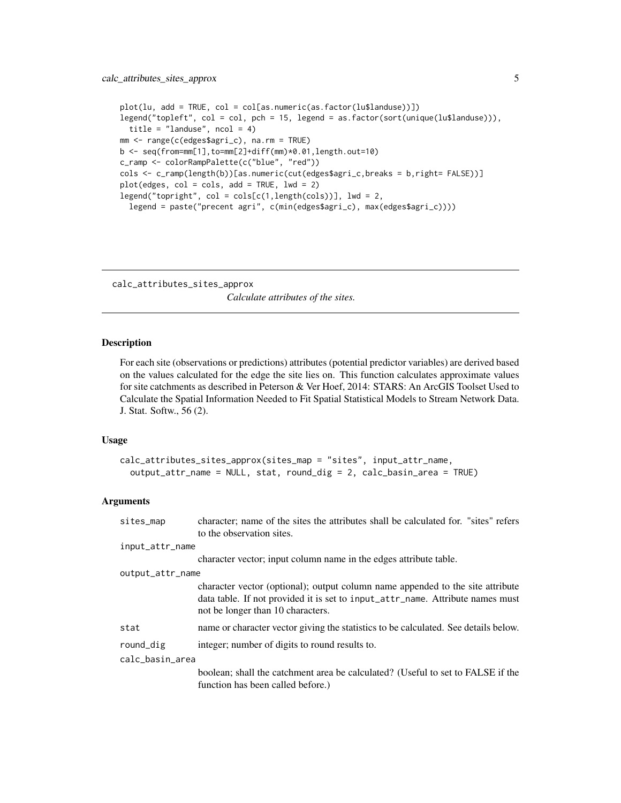```
plot(lu, add = TRUE, col = col[as.numeric(as.factor(lu$landuse))])
legend("topleft", col = col, pch = 15, legend = as.factor(sort(unique(lu$landuse))),
  title = "landuse", ncol = 4)
mm <- range(c(edges$agri_c), na.rm = TRUE)
b <- seq(from=mm[1],to=mm[2]+diff(mm)*0.01,length.out=10)
c_ramp <- colorRampPalette(c("blue", "red"))
cols <- c_ramp(length(b))[as.numeric(cut(edges$agri_c,breaks = b,right= FALSE))]
plot(edges, col = cols, add = TRUE, lwd = 2)
legend("topright", col = cols[c(1,length(cols))], lwd = 2,
  legend = paste("precent agri", c(min(edges$agri_c), max(edges$agri_c))))
```
<span id="page-4-1"></span>calc\_attributes\_sites\_approx *Calculate attributes of the sites.*

#### Description

For each site (observations or predictions) attributes (potential predictor variables) are derived based on the values calculated for the edge the site lies on. This function calculates approximate values for site catchments as described in Peterson & Ver Hoef, 2014: STARS: An ArcGIS Toolset Used to Calculate the Spatial Information Needed to Fit Spatial Statistical Models to Stream Network Data. J. Stat. Softw., 56 (2).

# Usage

```
calc_attributes_sites_approx(sites_map = "sites", input_attr_name,
  output_attr_name = NULL, stat, round_dig = 2, calc_basin_area = TRUE)
```
#### Arguments

| sites_map        | character; name of the sites the attributes shall be calculated for. "sites" refers<br>to the observation sites.                                                                                      |  |  |  |  |  |
|------------------|-------------------------------------------------------------------------------------------------------------------------------------------------------------------------------------------------------|--|--|--|--|--|
| input_attr_name  |                                                                                                                                                                                                       |  |  |  |  |  |
|                  | character vector; input column name in the edges attribute table.                                                                                                                                     |  |  |  |  |  |
| output_attr_name |                                                                                                                                                                                                       |  |  |  |  |  |
|                  | character vector (optional); output column name appended to the site attribute<br>data table. If not provided it is set to input_attr_name. Attribute names must<br>not be longer than 10 characters. |  |  |  |  |  |
| stat             | name or character vector giving the statistics to be calculated. See details below.                                                                                                                   |  |  |  |  |  |
| round_dig        | integer; number of digits to round results to.                                                                                                                                                        |  |  |  |  |  |
| calc_basin_area  |                                                                                                                                                                                                       |  |  |  |  |  |
|                  | boolean; shall the catchment area be calculated? (Useful to set to FALSE if the<br>function has been called before.)                                                                                  |  |  |  |  |  |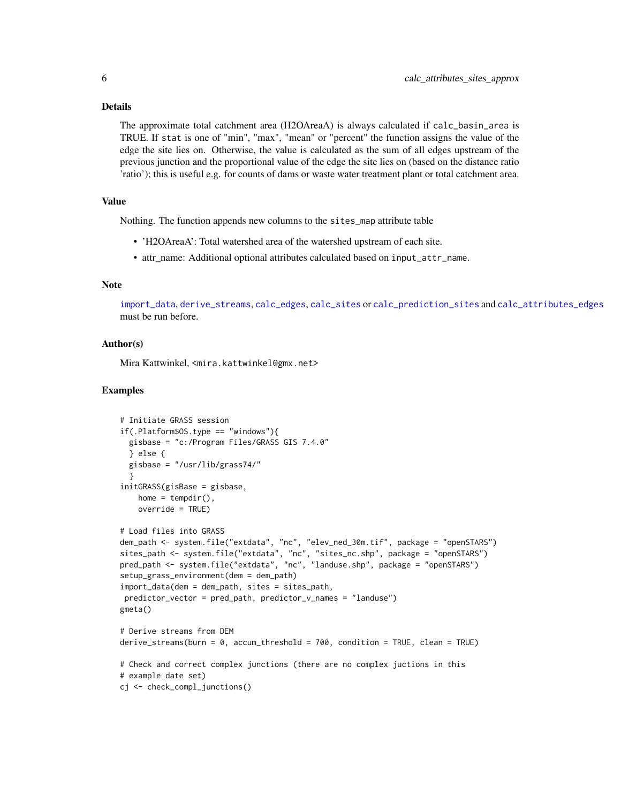#### <span id="page-5-0"></span>Details

The approximate total catchment area (H2OAreaA) is always calculated if calc\_basin\_area is TRUE. If stat is one of "min", "max", "mean" or "percent" the function assigns the value of the edge the site lies on. Otherwise, the value is calculated as the sum of all edges upstream of the previous junction and the proportional value of the edge the site lies on (based on the distance ratio 'ratio'); this is useful e.g. for counts of dams or waste water treatment plant or total catchment area.

# Value

Nothing. The function appends new columns to the sites\_map attribute table

- 'H2OAreaA': Total watershed area of the watershed upstream of each site.
- attr\_name: Additional optional attributes calculated based on input\_attr\_name.

# Note

[import\\_data](#page-26-1), [derive\\_streams](#page-22-1), [calc\\_edges](#page-13-1), [calc\\_sites](#page-16-1) or [calc\\_prediction\\_sites](#page-14-1) and [calc\\_attributes\\_edges](#page-1-1) must be run before.

## Author(s)

Mira Kattwinkel, <mira.kattwinkel@gmx.net>

```
# Initiate GRASS session
if(.Platform$OS.type == "windows"){
 gisbase = "c:/Program Files/GRASS GIS 7.4.0"
 } else {
 gisbase = "/usr/lib/grass74/"
  }
initGRASS(gisBase = gisbase,
   home = tempdir(),
   override = TRUE)
# Load files into GRASS
dem_path <- system.file("extdata", "nc", "elev_ned_30m.tif", package = "openSTARS")
sites_path <- system.file("extdata", "nc", "sites_nc.shp", package = "openSTARS")
pred_path <- system.file("extdata", "nc", "landuse.shp", package = "openSTARS")
setup_grass_environment(dem = dem_path)
import_data(dem = dem_path, sites = sites_path,
predictor_vector = pred_path, predictor_v_names = "landuse")
gmeta()
# Derive streams from DEM
derive_streams(burn = 0, accum_threshold = 700, condition = TRUE, clean = TRUE)
# Check and correct complex junctions (there are no complex juctions in this
# example date set)
cj <- check_compl_junctions()
```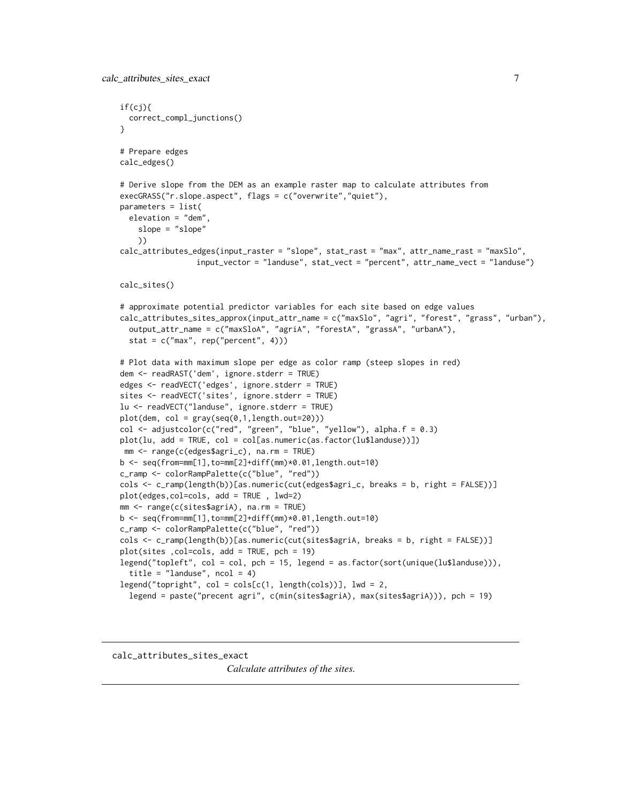```
if(cj){
 correct_compl_junctions()
}
# Prepare edges
calc_edges()
# Derive slope from the DEM as an example raster map to calculate attributes from
execGRASS("r.slope.aspect", flags = c("overwrite","quiet"),
parameters = list(
 elevation = "dem",
    slope = "slope"
   ))
calc_attributes_edges(input_raster = "slope", stat_rast = "max", attr_name_rast = "maxSlo",
                 input_vector = "landuse", stat_vect = "percent", attr_name_vect = "landuse")
calc_sites()
# approximate potential predictor variables for each site based on edge values
calc_attributes_sites_approx(input_attr_name = c("maxSlo", "agri", "forest", "grass", "urban"),
 output_attr_name = c("maxSloA", "agriA", "forestA", "grassA", "urbanA"),
 stat = c("max", rep("percent", 4)))
# Plot data with maximum slope per edge as color ramp (steep slopes in red)
dem <- readRAST('dem', ignore.stderr = TRUE)
edges <- readVECT('edges', ignore.stderr = TRUE)
sites <- readVECT('sites', ignore.stderr = TRUE)
lu <- readVECT("landuse", ignore.stderr = TRUE)
plot(dem, col = gray(seq(0,1, length.out=20)))col <- adjustcolor(c("red", "green", "blue", "yellow"), alpha.f = 0.3)
plot(lu, add = TRUE, col = col[as.numeric(as.factor(lu$landuse))])
mm <- range(c(edges$agri_c), na.rm = TRUE)
b <- seq(from=mm[1],to=mm[2]+diff(mm)*0.01,length.out=10)
c_ramp <- colorRampPalette(c("blue", "red"))
cols <- c_ramp(length(b))[as.numeric(cut(edges$agri_c, breaks = b, right = FALSE))]
plot(edges,col=cols, add = TRUE , lwd=2)
mm <- range(c(sites$agriA), na.rm = TRUE)
b <- seq(from=mm[1],to=mm[2]+diff(mm)*0.01,length.out=10)
c_ramp <- colorRampPalette(c("blue", "red"))
cols <- c_ramp(length(b))[as.numeric(cut(sites$agriA, breaks = b, right = FALSE))]
plot(sites ,col=cols, add = TRUE, pch = 19)
legend("topleft", col = col, pch = 15, legend = as.factor(sort(unique(lu$landuse))),
  title = "landuse", ncol = 4)
legend("topright", col = cols[c(1, length(cols))], lw = 2,legend = paste("precent agri", c(min(sites$agriA), max(sites$agriA))), pch = 19)
```
calc\_attributes\_sites\_exact

*Calculate attributes of the sites.*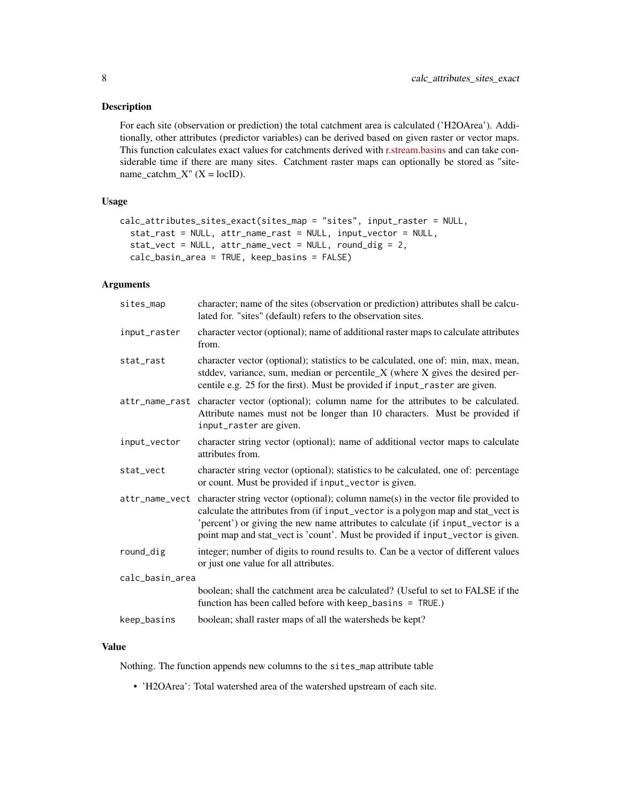# Description

For each site (observation or prediction) the total catchment area is calculated ('H2OArea'). Additionally, other attributes (predictor variables) can be derived based on given raster or vector maps. This function calculates exact values for catchments derived with [r.stream.basins](https://grass.osgeo.org/grass74/manuals/addons/r.stream.basins.html) and can take considerable time if there are many sites. Catchment raster maps can optionally be stored as "sitename\_catchm\_X" ( $X = locID$ ).

# Usage

```
calc_attributes_sites_exact(sites_map = "sites", input_raster = NULL,
  stat_rast = NULL, attr_name_rast = NULL, input_vector = NULL,
  stat_vect = NULL, attr_name_vect = NULL, round_dig = 2,
  calc_basin_area = TRUE, keep_basins = FALSE)
```
# Arguments

| character; name of the sites (observation or prediction) attributes shall be calcu-<br>lated for. "sites" (default) refers to the observation sites.                                                                                                                                                                                       |
|--------------------------------------------------------------------------------------------------------------------------------------------------------------------------------------------------------------------------------------------------------------------------------------------------------------------------------------------|
| character vector (optional); name of additional raster maps to calculate attributes<br>from.                                                                                                                                                                                                                                               |
| character vector (optional); statistics to be calculated, one of: min, max, mean,<br>stddev, variance, sum, median or percentile_X (where X gives the desired per-<br>centile e.g. 25 for the first). Must be provided if input_raster are given.                                                                                          |
| character vector (optional); column name for the attributes to be calculated.<br>Attribute names must not be longer than 10 characters. Must be provided if<br>input_raster are given.                                                                                                                                                     |
| character string vector (optional); name of additional vector maps to calculate<br>attributes from.                                                                                                                                                                                                                                        |
| character string vector (optional); statistics to be calculated, one of: percentage<br>or count. Must be provided if input_vector is given.                                                                                                                                                                                                |
| character string vector (optional); column name(s) in the vector file provided to<br>calculate the attributes from (if input_vector is a polygon map and stat_vect is<br>'percent') or giving the new name attributes to calculate (if input_vector is a<br>point map and stat_vect is 'count'. Must be provided if input_vector is given. |
| integer; number of digits to round results to. Can be a vector of different values<br>or just one value for all attributes.                                                                                                                                                                                                                |
| calc_basin_area                                                                                                                                                                                                                                                                                                                            |
| boolean; shall the catchment area be calculated? (Useful to set to FALSE if the<br>function has been called before with $keep\_basis = TRUE$ .)                                                                                                                                                                                            |
| boolean; shall raster maps of all the watersheds be kept?                                                                                                                                                                                                                                                                                  |
|                                                                                                                                                                                                                                                                                                                                            |

# Value

Nothing. The function appends new columns to the sites\_map attribute table

• 'H2OArea': Total watershed area of the watershed upstream of each site.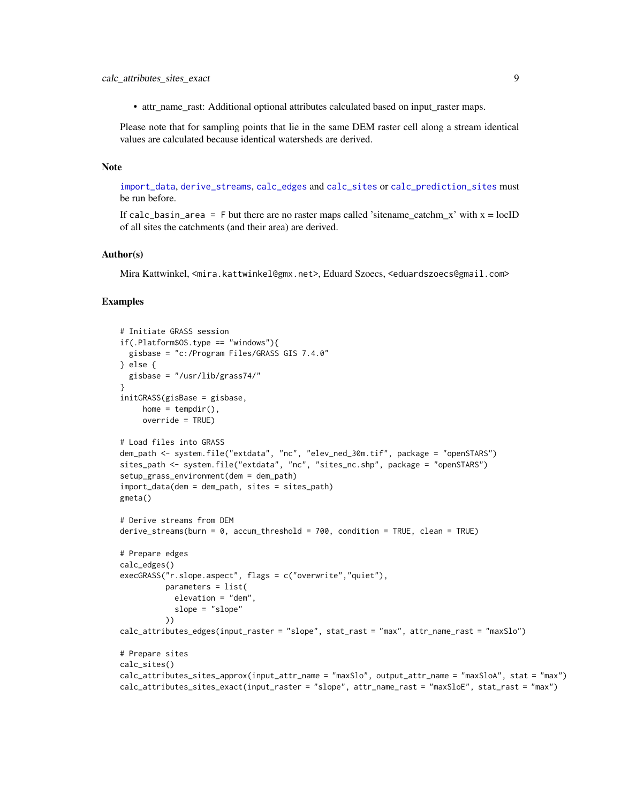<span id="page-8-0"></span>• attr\_name\_rast: Additional optional attributes calculated based on input\_raster maps.

Please note that for sampling points that lie in the same DEM raster cell along a stream identical values are calculated because identical watersheds are derived.

# Note

[import\\_data](#page-26-1), [derive\\_streams](#page-22-1), [calc\\_edges](#page-13-1) and [calc\\_sites](#page-16-1) or [calc\\_prediction\\_sites](#page-14-1) must be run before.

If calc\_basin\_area = F but there are no raster maps called 'sitename\_catchm\_x' with  $x = locID$ of all sites the catchments (and their area) are derived.

#### Author(s)

Mira Kattwinkel, <mira.kattwinkel@gmx.net>, Eduard Szoecs, <eduardszoecs@gmail.com>

```
# Initiate GRASS session
if(.Platform$0S.type == "windows")gisbase = "c:/Program Files/GRASS GIS 7.4.0"
} else {
  gisbase = "/usr/lib/grass74/"
}
initGRASS(gisBase = gisbase,
    home = tempdir(),
     override = TRUE)
# Load files into GRASS
dem_path <- system.file("extdata", "nc", "elev_ned_30m.tif", package = "openSTARS")
sites_path <- system.file("extdata", "nc", "sites_nc.shp", package = "openSTARS")
setup_grass_environment(dem = dem_path)
import_data(dem = dem_path, sites = sites_path)
gmeta()
# Derive streams from DEM
derive_streams(burn = \theta, accum_threshold = 700, condition = TRUE, clean = TRUE)
# Prepare edges
calc_edges()
execGRASS("r.slope.aspect", flags = c("overwrite","quiet"),
          parameters = list(
            elevation = "dem",
            slope = "slope"
          ))
calc_attributes_edges(input_raster = "slope", stat_rast = "max", attr_name_rast = "maxSlo")
# Prepare sites
calc_sites()
calc_attributes_sites_approx(input_attr_name = "maxSlo", output_attr_name = "maxSloA", stat = "max")
calc_attributes_sites_exact(input_raster = "slope", attr_name_rast = "maxSloE", stat_rast = "max")
```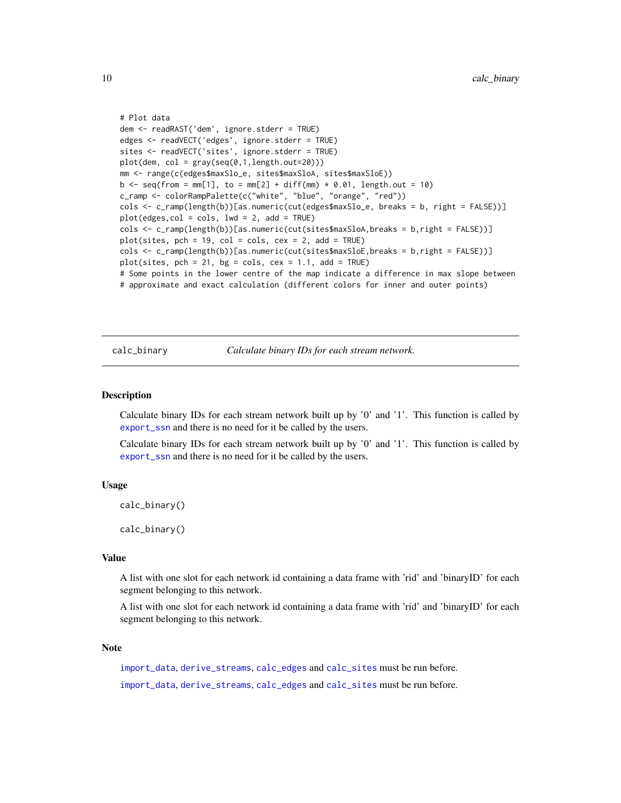```
# Plot data
dem <- readRAST('dem', ignore.stderr = TRUE)
edges <- readVECT('edges', ignore.stderr = TRUE)
sites <- readVECT('sites', ignore.stderr = TRUE)
plot(dem, col = gray(seq(0,1,length.out=20)))
mm <- range(c(edges$maxSlo_e, sites$maxSloA, sites$maxSloE))
b \leq -\text{seq}(\text{from }= \text{mm}[1], \text{to }= \text{mm}[2] + \text{diff}(\text{mm}) \times 0.01, \text{length.out }= 10)c_ramp <- colorRampPalette(c("white", "blue", "orange", "red"))
cols <- c_ramp(length(b))[as.numeric(cut(edges$maxSlo_e, breaks = b, right = FALSE))]
plot(edges,col = cols, lwd = 2, add = TRUE)
cols <- c_ramp(length(b))[as.numeric(cut(sites$maxSloA,breaks = b,right = FALSE))]
plot(sites, pch = 19, col = cols, cex = 2, add = TRUE)cols <- c_ramp(length(b))[as.numeric(cut(sites$maxSloE,breaks = b,right = FALSE))]
plot(sites, pch = 21, bg = cols, cex = 1.1, add = TRUE)# Some points in the lower centre of the map indicate a difference in max slope between
# approximate and exact calculation (different colors for inner and outer points)
```
calc\_binary *Calculate binary IDs for each stream network.*

## Description

Calculate binary IDs for each stream network built up by '0' and '1'. This function is called by [export\\_ssn](#page-24-1) and there is no need for it be called by the users.

Calculate binary IDs for each stream network built up by '0' and '1'. This function is called by [export\\_ssn](#page-24-1) and there is no need for it be called by the users.

#### Usage

calc\_binary()

calc\_binary()

# Value

A list with one slot for each network id containing a data frame with 'rid' and 'binaryID' for each segment belonging to this network.

A list with one slot for each network id containing a data frame with 'rid' and 'binaryID' for each segment belonging to this network.

# **Note**

[import\\_data](#page-26-1), [derive\\_streams](#page-22-1), [calc\\_edges](#page-13-1) and [calc\\_sites](#page-16-1) must be run before. [import\\_data](#page-26-1), [derive\\_streams](#page-22-1), [calc\\_edges](#page-13-1) and [calc\\_sites](#page-16-1) must be run before.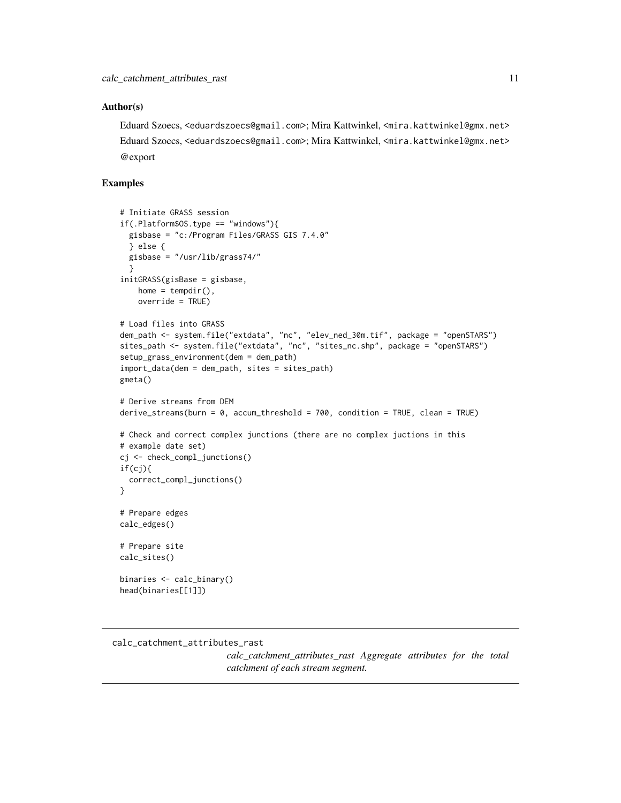#### <span id="page-10-0"></span>Author(s)

Eduard Szoecs, <eduardszoecs@gmail.com>; Mira Kattwinkel, <mira.kattwinkel@gmx.net> Eduard Szoecs, <eduardszoecs@gmail.com>; Mira Kattwinkel, <mira.kattwinkel@gmx.net> @export

# Examples

```
# Initiate GRASS session
if(.Platform$OS.type == "windows"){
 gisbase = "c:/Program Files/GRASS GIS 7.4.0"
 } else {
 gisbase = "/usr/lib/grass74/"
  }
initGRASS(gisBase = gisbase,
   home = tempdir(),
   override = TRUE)
# Load files into GRASS
dem_path <- system.file("extdata", "nc", "elev_ned_30m.tif", package = "openSTARS")
sites_path <- system.file("extdata", "nc", "sites_nc.shp", package = "openSTARS")
setup_grass_environment(dem = dem_path)
import_data(dem = dem_path, sites = sites_path)
gmeta()
# Derive streams from DEM
derive_streams(burn = 0, accum_threshold = 700, condition = TRUE, clean = TRUE)
# Check and correct complex junctions (there are no complex juctions in this
# example date set)
cj <- check_compl_junctions()
if(cj){
 correct_compl_junctions()
}
# Prepare edges
calc_edges()
# Prepare site
calc_sites()
binaries <- calc_binary()
head(binaries[[1]])
```
<span id="page-10-1"></span>calc\_catchment\_attributes\_rast

*calc\_catchment\_attributes\_rast Aggregate attributes for the total catchment of each stream segment.*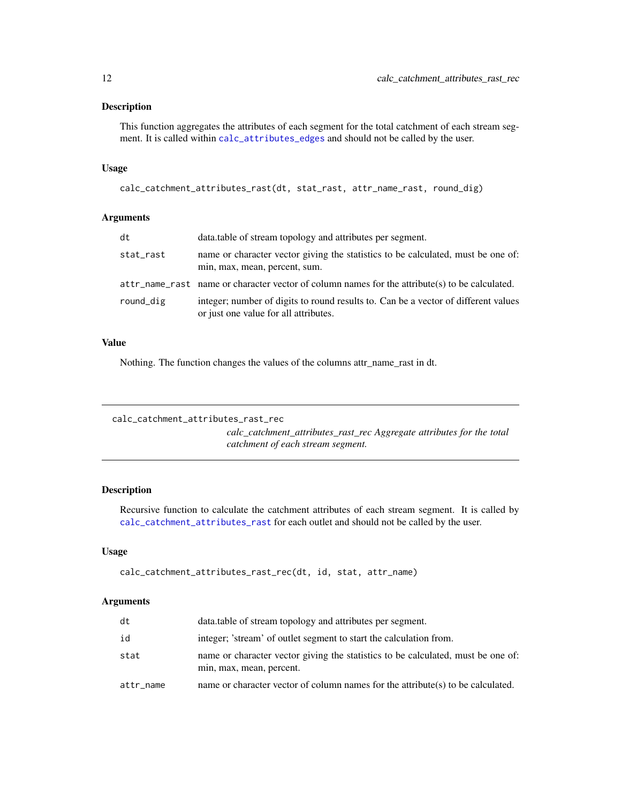#### <span id="page-11-0"></span>Description

This function aggregates the attributes of each segment for the total catchment of each stream segment. It is called within [calc\\_attributes\\_edges](#page-1-1) and should not be called by the user.

#### Usage

```
calc_catchment_attributes_rast(dt, stat_rast, attr_name_rast, round_dig)
```
# Arguments

| dt        | data.table of stream topology and attributes per segment.                                                                   |
|-----------|-----------------------------------------------------------------------------------------------------------------------------|
| stat_rast | name or character vector giving the statistics to be calculated, must be one of:<br>min, max, mean, percent, sum.           |
|           | $attr_name\_rast$ name or character vector of column names for the attribute(s) to be calculated.                           |
| round_dig | integer; number of digits to round results to. Can be a vector of different values<br>or just one value for all attributes. |

#### Value

Nothing. The function changes the values of the columns attr\_name\_rast in dt.

```
calc_catchment_attributes_rast_rec
```
*calc\_catchment\_attributes\_rast\_rec Aggregate attributes for the total catchment of each stream segment.*

# Description

Recursive function to calculate the catchment attributes of each stream segment. It is called by [calc\\_catchment\\_attributes\\_rast](#page-10-1) for each outlet and should not be called by the user.

# Usage

```
calc_catchment_attributes_rast_rec(dt, id, stat, attr_name)
```
# Arguments

| dt        | data.table of stream topology and attributes per segment.                                                    |
|-----------|--------------------------------------------------------------------------------------------------------------|
| id        | integer; 'stream' of outlet segment to start the calculation from.                                           |
| stat      | name or character vector giving the statistics to be calculated, must be one of:<br>min, max, mean, percent. |
| attr_name | name or character vector of column names for the attribute(s) to be calculated.                              |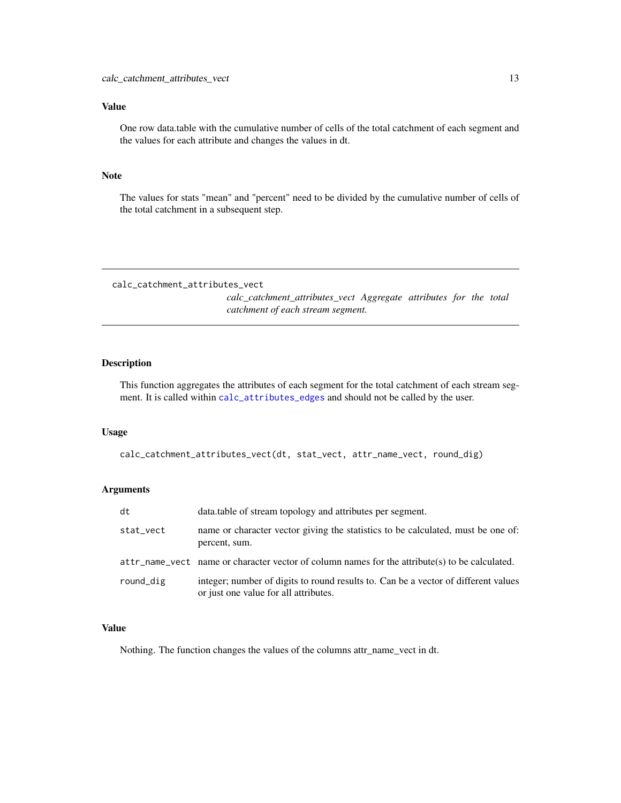# <span id="page-12-0"></span>Value

One row data.table with the cumulative number of cells of the total catchment of each segment and the values for each attribute and changes the values in dt.

# Note

The values for stats "mean" and "percent" need to be divided by the cumulative number of cells of the total catchment in a subsequent step.

calc\_catchment\_attributes\_vect

*calc\_catchment\_attributes\_vect Aggregate attributes for the total catchment of each stream segment.*

#### Description

This function aggregates the attributes of each segment for the total catchment of each stream segment. It is called within [calc\\_attributes\\_edges](#page-1-1) and should not be called by the user.

#### Usage

calc\_catchment\_attributes\_vect(dt, stat\_vect, attr\_name\_vect, round\_dig)

# Arguments

| dt        | data.table of stream topology and attributes per segment.                                                                   |
|-----------|-----------------------------------------------------------------------------------------------------------------------------|
| stat_vect | name or character vector giving the statistics to be calculated, must be one of:<br>percent, sum.                           |
|           | $attr_name\_vect$ name or character vector of column names for the attribute(s) to be calculated.                           |
| round_dig | integer; number of digits to round results to. Can be a vector of different values<br>or just one value for all attributes. |

# Value

Nothing. The function changes the values of the columns attr\_name\_vect in dt.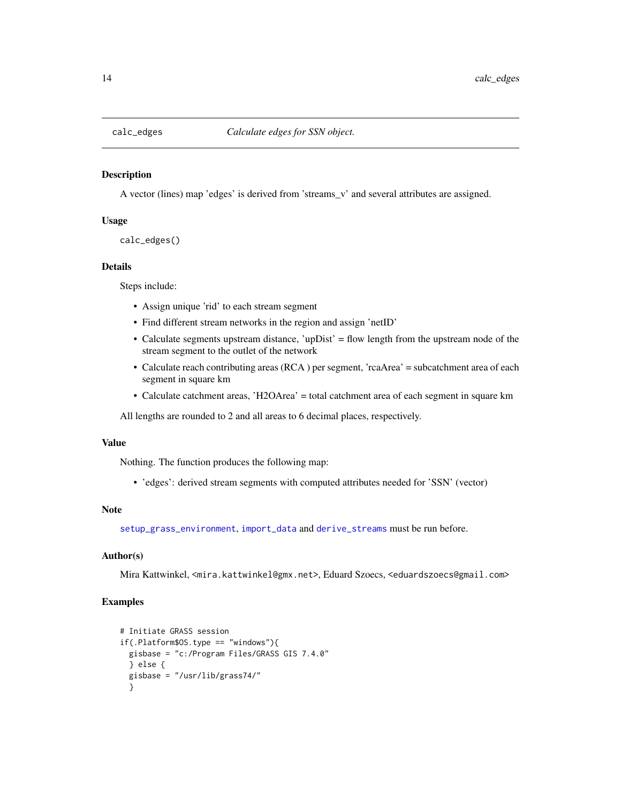<span id="page-13-1"></span><span id="page-13-0"></span>

#### Description

A vector (lines) map 'edges' is derived from 'streams\_v' and several attributes are assigned.

#### Usage

```
calc_edges()
```
# Details

Steps include:

- Assign unique 'rid' to each stream segment
- Find different stream networks in the region and assign 'netID'
- Calculate segments upstream distance, 'upDist' = flow length from the upstream node of the stream segment to the outlet of the network
- Calculate reach contributing areas (RCA ) per segment, 'rcaArea' = subcatchment area of each segment in square km
- Calculate catchment areas, 'H2OArea' = total catchment area of each segment in square km

All lengths are rounded to 2 and all areas to 6 decimal places, respectively.

#### Value

Nothing. The function produces the following map:

• 'edges': derived stream segments with computed attributes needed for 'SSN' (vector)

# Note

[setup\\_grass\\_environment](#page-31-1), [import\\_data](#page-26-1) and [derive\\_streams](#page-22-1) must be run before.

#### Author(s)

Mira Kattwinkel, <mira.kattwinkel@gmx.net>, Eduard Szoecs, <eduardszoecs@gmail.com>

```
# Initiate GRASS session
if(.Platform$OS.type == "windows"){
 gisbase = "c:/Program Files/GRASS GIS 7.4.0"
 } else {
 gisbase = "/usr/lib/grass74/"
 }
```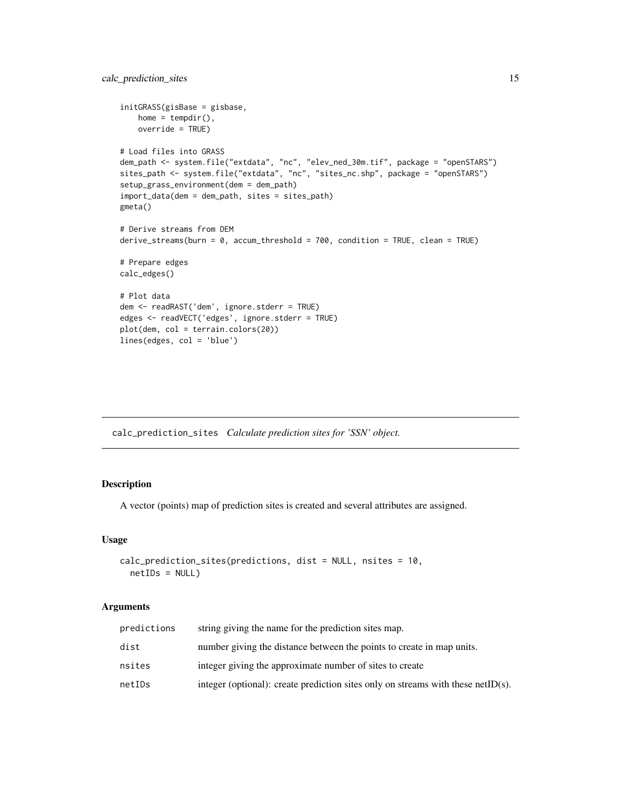```
initGRASS(gisBase = gisbase,
   home = tempdir(),
   override = TRUE)
# Load files into GRASS
dem_path <- system.file("extdata", "nc", "elev_ned_30m.tif", package = "openSTARS")
sites_path <- system.file("extdata", "nc", "sites_nc.shp", package = "openSTARS")
setup_grass_environment(dem = dem_path)
import_data(dem = dem_path, sites = sites_path)
gmeta()
# Derive streams from DEM
derive_streams(burn = 0, accum_threshold = 700, condition = TRUE, clean = TRUE)
# Prepare edges
calc_edges()
# Plot data
dem <- readRAST('dem', ignore.stderr = TRUE)
edges <- readVECT('edges', ignore.stderr = TRUE)
plot(dem, col = terrain.colors(20))
lines(edges, col = 'blue')
```
<span id="page-14-1"></span>calc\_prediction\_sites *Calculate prediction sites for 'SSN' object.*

# Description

A vector (points) map of prediction sites is created and several attributes are assigned.

#### Usage

```
calc_prediction_sites(predictions, dist = NULL, nsites = 10,
  netIDs = NULL
```
#### Arguments

| predictions | string giving the name for the prediction sites map.                             |
|-------------|----------------------------------------------------------------------------------|
| dist        | number giving the distance between the points to create in map units.            |
| nsites      | integer giving the approximate number of sites to create                         |
| netIDs      | integer (optional): create prediction sites only on streams with these netID(s). |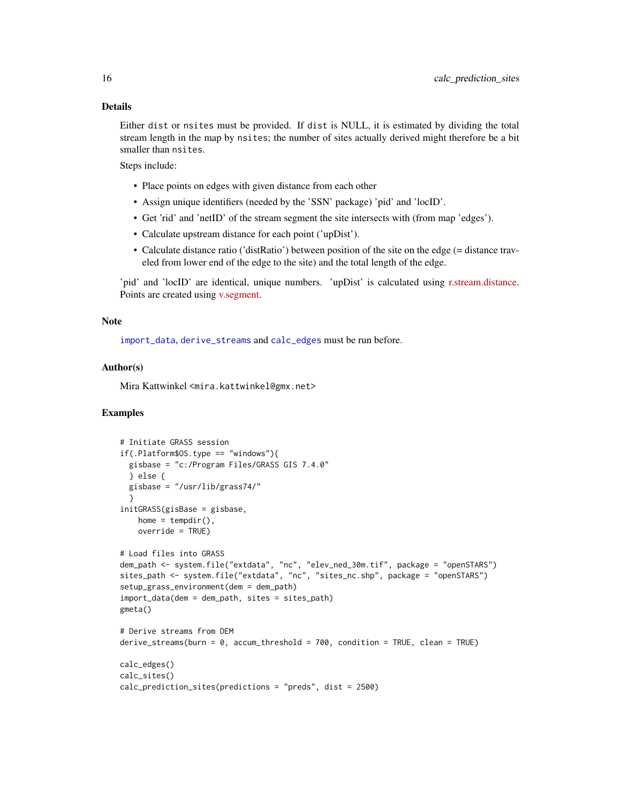#### <span id="page-15-0"></span>Details

Either dist or nsites must be provided. If dist is NULL, it is estimated by dividing the total stream length in the map by nsites; the number of sites actually derived might therefore be a bit smaller than nsites.

Steps include:

- Place points on edges with given distance from each other
- Assign unique identifiers (needed by the 'SSN' package) 'pid' and 'locID'.
- Get 'rid' and 'netID' of the stream segment the site intersects with (from map 'edges').
- Calculate upstream distance for each point ('upDist').
- Calculate distance ratio ('distRatio') between position of the site on the edge (= distance traveled from lower end of the edge to the site) and the total length of the edge.

'pid' and 'locID' are identical, unique numbers. 'upDist' is calculated using [r.stream.distance.](https://grass.osgeo.org/grass72/manuals/addons/r.stream.distance.html) Points are created using [v.segment.](https://grass.osgeo.org/grass72/manuals/v.segment.html)

#### **Note**

[import\\_data](#page-26-1), [derive\\_streams](#page-22-1) and [calc\\_edges](#page-13-1) must be run before.

# Author(s)

Mira Kattwinkel <mira.kattwinkel@gmx.net>

```
# Initiate GRASS session
if(.Platform$OS.type == "windows"){
  gisbase = "c:/Program Files/GRASS GIS 7.4.0"
  } else {
  gisbase = "/usr/lib/grass74/"
  }
initGRASS(gisBase = gisbase,
   home = tempdir(),
   override = TRUE)
# Load files into GRASS
dem_path <- system.file("extdata", "nc", "elev_ned_30m.tif", package = "openSTARS")
sites_path <- system.file("extdata", "nc", "sites_nc.shp", package = "openSTARS")
setup_grass_environment(dem = dem_path)
import_data(dem = dem_path, sites = sites_path)
gmeta()
# Derive streams from DEM
derive_streams(burn = 0, accum_threshold = 700, condition = TRUE, clean = TRUE)
calc_edges()
calc_sites()
calc_prediction_sites(predictions = "preds", dist = 2500)
```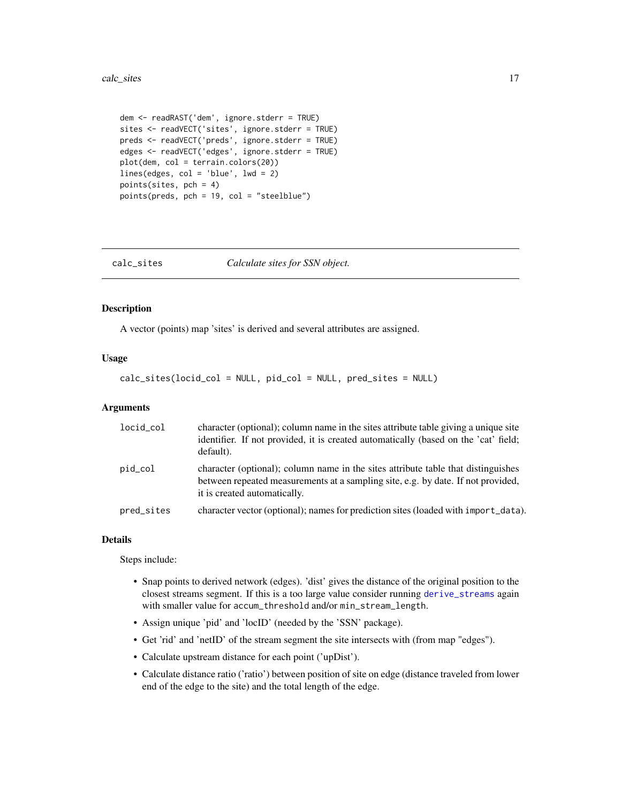```
dem <- readRAST('dem', ignore.stderr = TRUE)
sites <- readVECT('sites', ignore.stderr = TRUE)
preds <- readVECT('preds', ignore.stderr = TRUE)
edges <- readVECT('edges', ignore.stderr = TRUE)
plot(dem, col = terrain.colors(20))
lines(edges, col = 'blue', lwd = 2)
points(sites, pch = 4)
points(preds, pch = 19, col = "steelblue")
```
<span id="page-16-1"></span>

| calc_sites | Calculate sites for SSN object. |
|------------|---------------------------------|
|            |                                 |

# Description

A vector (points) map 'sites' is derived and several attributes are assigned.

## Usage

calc\_sites(locid\_col = NULL, pid\_col = NULL, pred\_sites = NULL)

# Arguments

| locid_col  | character (optional); column name in the sites attribute table giving a unique site<br>identifier. If not provided, it is created automatically (based on the 'cat' field;<br>default).               |
|------------|-------------------------------------------------------------------------------------------------------------------------------------------------------------------------------------------------------|
| pid_col    | character (optional); column name in the sites attribute table that distinguishes<br>between repeated measurements at a sampling site, e.g. by date. If not provided,<br>it is created automatically. |
| pred_sites | character vector (optional); names for prediction sites (loaded with import_data).                                                                                                                    |

#### Details

Steps include:

- Snap points to derived network (edges). 'dist' gives the distance of the original position to the closest streams segment. If this is a too large value consider running [derive\\_streams](#page-22-1) again with smaller value for accum\_threshold and/or min\_stream\_length.
- Assign unique 'pid' and 'locID' (needed by the 'SSN' package).
- Get 'rid' and 'netID' of the stream segment the site intersects with (from map "edges").
- Calculate upstream distance for each point ('upDist').
- Calculate distance ratio ('ratio') between position of site on edge (distance traveled from lower end of the edge to the site) and the total length of the edge.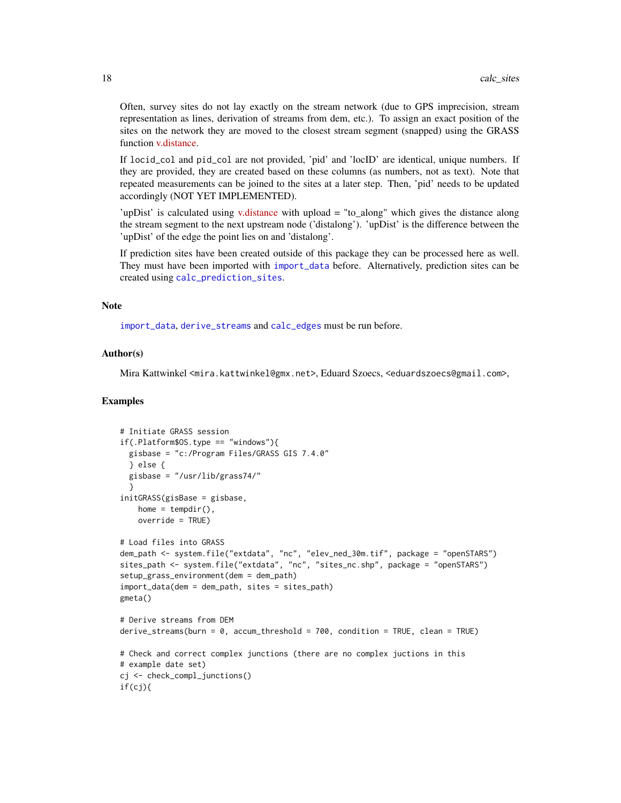Often, survey sites do not lay exactly on the stream network (due to GPS imprecision, stream representation as lines, derivation of streams from dem, etc.). To assign an exact position of the sites on the network they are moved to the closest stream segment (snapped) using the GRASS function [v.distance.](https://grass.osgeo.org/grass74/manuals/v.distance.html)

If locid\_col and pid\_col are not provided, 'pid' and 'locID' are identical, unique numbers. If they are provided, they are created based on these columns (as numbers, not as text). Note that repeated measurements can be joined to the sites at a later step. Then, 'pid' needs to be updated accordingly (NOT YET IMPLEMENTED).

'upDist' is calculated using [v.distance](https://grass.osgeo.org/grass73/manuals/v.distance.html) with upload = "to\_along" which gives the distance along the stream segment to the next upstream node ('distalong'). 'upDist' is the difference between the 'upDist' of the edge the point lies on and 'distalong'.

If prediction sites have been created outside of this package they can be processed here as well. They must have been imported with [import\\_data](#page-26-1) before. Alternatively, prediction sites can be created using [calc\\_prediction\\_sites](#page-14-1).

# Note

[import\\_data](#page-26-1), [derive\\_streams](#page-22-1) and [calc\\_edges](#page-13-1) must be run before.

## Author(s)

Mira Kattwinkel <mira.kattwinkel@gmx.net>, Eduard Szoecs, <eduardszoecs@gmail.com>,

```
# Initiate GRASS session
if(.Platform$0S.type == "windows")gisbase = "c:/Program Files/GRASS GIS 7.4.0"
 } else {
 gisbase = "/usr/lib/grass74/"
  }
initGRASS(gisBase = gisbase,
   home = tempdir(),
   override = TRUE)
# Load files into GRASS
dem_path <- system.file("extdata", "nc", "elev_ned_30m.tif", package = "openSTARS")
sites_path <- system.file("extdata", "nc", "sites_nc.shp", package = "openSTARS")
setup_grass_environment(dem = dem_path)
import_data(dem = dem_path, sites = sites_path)
gmeta()
# Derive streams from DEM
derive_streams(burn = 0, accum_threshold = 700, condition = TRUE, clean = TRUE)
# Check and correct complex junctions (there are no complex juctions in this
# example date set)
cj <- check_compl_junctions()
if(cj){
```
<span id="page-17-0"></span>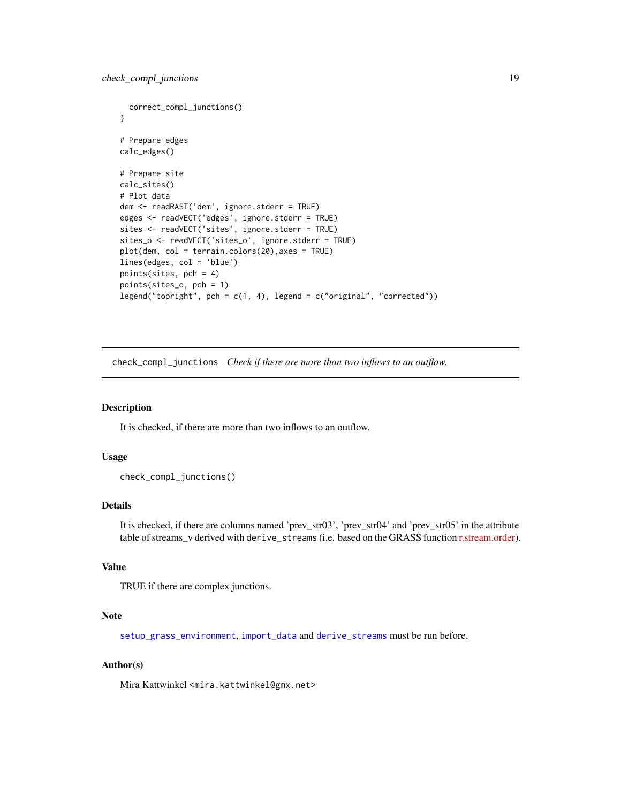```
correct_compl_junctions()
}
# Prepare edges
calc_edges()
# Prepare site
calc_sites()
# Plot data
dem <- readRAST('dem', ignore.stderr = TRUE)
edges <- readVECT('edges', ignore.stderr = TRUE)
sites <- readVECT('sites', ignore.stderr = TRUE)
sites_o <- readVECT('sites_o', ignore.stderr = TRUE)
plot(dem, col = terrain.colors(20),axes = TRUE)
lines(edges, col = 'blue')
points(sites, pch = 4)
points(sites_o, pch = 1)
legend("topright", pch = c(1, 4), legend = c("original", "corrected"))
```
check\_compl\_junctions *Check if there are more than two inflows to an outflow.*

# Description

It is checked, if there are more than two inflows to an outflow.

# Usage

check\_compl\_junctions()

#### Details

It is checked, if there are columns named 'prev\_str03', 'prev\_str04' and 'prev\_str05' in the attribute table of streams v derived with derive\_streams (i.e. based on the GRASS function [r.stream.order\)](https://grass.osgeo.org/grass74/manuals/addons/r.stream.order.html).

# Value

TRUE if there are complex junctions.

#### Note

[setup\\_grass\\_environment](#page-31-1), [import\\_data](#page-26-1) and [derive\\_streams](#page-22-1) must be run before.

# Author(s)

Mira Kattwinkel <mira.kattwinkel@gmx.net>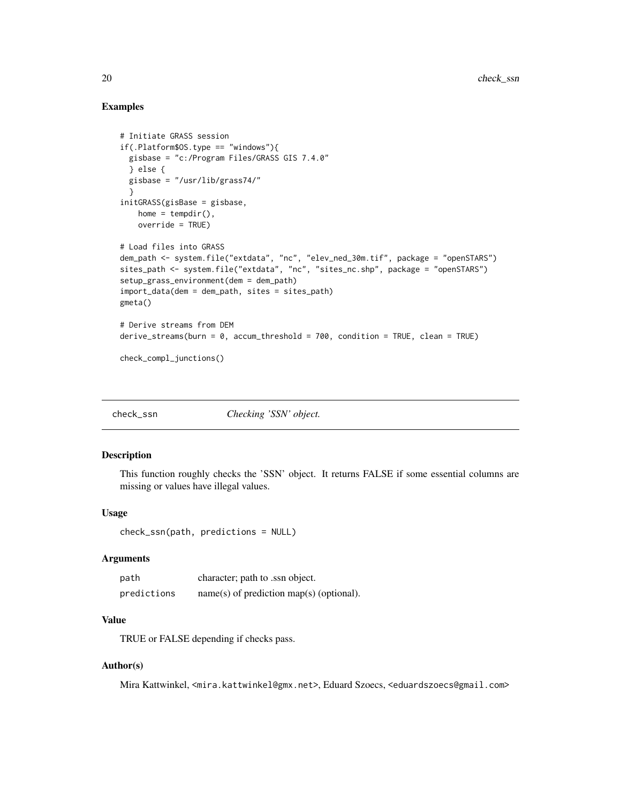# Examples

```
# Initiate GRASS session
if(.Platform$0S.type == "windows")gisbase = "c:/Program Files/GRASS GIS 7.4.0"
 } else {
 gisbase = "/usr/lib/grass74/"
  }
initGRASS(gisBase = gisbase,
   home = tempdir(),
   override = TRUE)
# Load files into GRASS
dem_path <- system.file("extdata", "nc", "elev_ned_30m.tif", package = "openSTARS")
sites_path <- system.file("extdata", "nc", "sites_nc.shp", package = "openSTARS")
setup_grass_environment(dem = dem_path)
import_data(dem = dem_path, sites = sites_path)
gmeta()
# Derive streams from DEM
derive_streams(burn = 0, accum_threshold = 700, condition = TRUE, clean = TRUE)
check_compl_junctions()
```
check\_ssn *Checking 'SSN' object.*

#### Description

This function roughly checks the 'SSN' object. It returns FALSE if some essential columns are missing or values have illegal values.

#### Usage

```
check_ssn(path, predictions = NULL)
```
## Arguments

| path        | character; path to .ssn object.            |
|-------------|--------------------------------------------|
| predictions | $name(s)$ of prediction map(s) (optional). |

# Value

TRUE or FALSE depending if checks pass.

# Author(s)

Mira Kattwinkel, <mira.kattwinkel@gmx.net>, Eduard Szoecs, <eduardszoecs@gmail.com>

<span id="page-19-0"></span>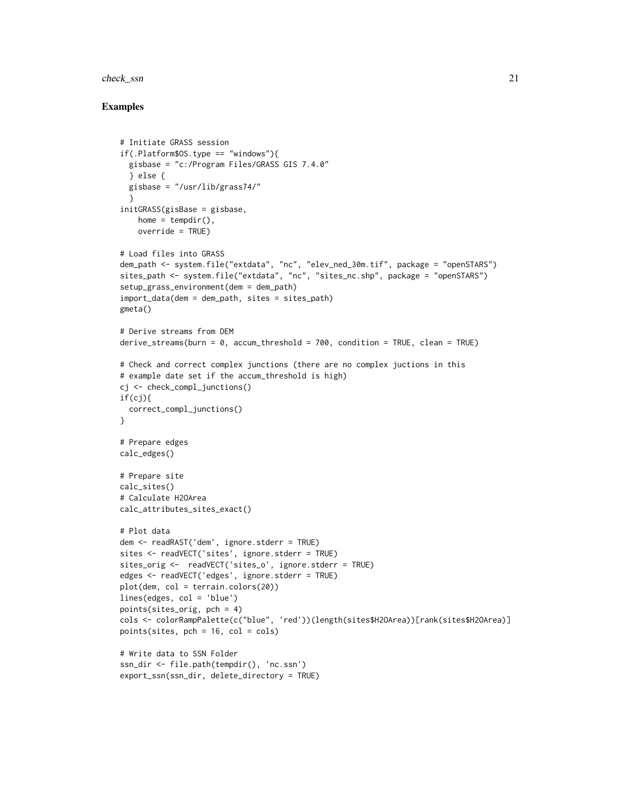#### check\_ssn 21

```
# Initiate GRASS session
if(.Platform$OS.type == "windows"){
  gisbase = "c:/Program Files/GRASS GIS 7.4.0"
  } else {
  gisbase = "/usr/lib/grass74/"
  }
initGRASS(gisBase = gisbase,
   home = tempdir(),
   override = TRUE)
# Load files into GRASS
dem_path <- system.file("extdata", "nc", "elev_ned_30m.tif", package = "openSTARS")
sites_path <- system.file("extdata", "nc", "sites_nc.shp", package = "openSTARS")
setup_grass_environment(dem = dem_path)
import_data(dem = dem_path, sites = sites_path)
gmeta()
# Derive streams from DEM
derive_streams(burn = \theta, accum_threshold = 700, condition = TRUE, clean = TRUE)
# Check and correct complex junctions (there are no complex juctions in this
# example date set if the accum_threshold is high)
cj <- check_compl_junctions()
if(cj)correct_compl_junctions()
}
# Prepare edges
calc_edges()
# Prepare site
calc_sites()
# Calculate H2OArea
calc_attributes_sites_exact()
# Plot data
dem <- readRAST('dem', ignore.stderr = TRUE)
sites <- readVECT('sites', ignore.stderr = TRUE)
sites_orig <- readVECT('sites_o', ignore.stderr = TRUE)
edges <- readVECT('edges', ignore.stderr = TRUE)
plot(dem, col = terrain.colors(20))
lines(edges, col = 'blue')
points(sites_orig, pch = 4)
cols <- colorRampPalette(c("blue", 'red'))(length(sites$H2OArea))[rank(sites$H2OArea)]
points(sites, pch = 16, col = cols)# Write data to SSN Folder
ssn_dir <- file.path(tempdir(), 'nc.ssn')
export_ssn(ssn_dir, delete_directory = TRUE)
```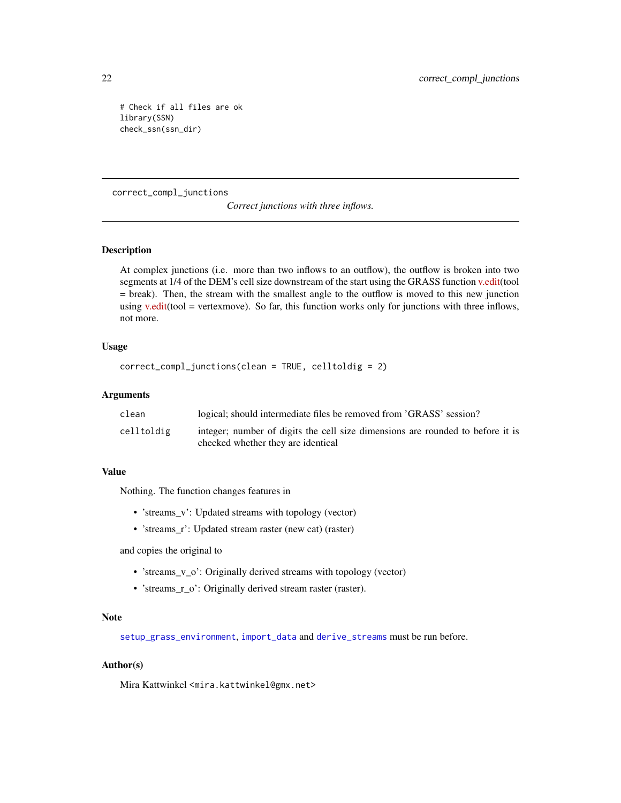```
# Check if all files are ok
library(SSN)
check_ssn(ssn_dir)
```
# correct\_compl\_junctions

*Correct junctions with three inflows.*

# Description

At complex junctions (i.e. more than two inflows to an outflow), the outflow is broken into two segments at 1/4 of the DEM's cell size downstream of the start using the GRASS function [v.edit\(](https://grass.osgeo.org/grass74/manuals/v.edit.html)tool = break). Then, the stream with the smallest angle to the outflow is moved to this new junction using [v.edit\(](https://grass.osgeo.org/grass74/manuals/v.edit.html)tool = vertexmove). So far, this function works only for junctions with three inflows, not more.

## Usage

```
correct_compl_junctions(clean = TRUE, celltoldig = 2)
```
#### **Arguments**

| clean      | logical; should intermediate files be removed from 'GRASS' session?                                                  |
|------------|----------------------------------------------------------------------------------------------------------------------|
| celltoldig | integer; number of digits the cell size dimensions are rounded to before it is<br>checked whether they are identical |

## Value

Nothing. The function changes features in

- 'streams\_v': Updated streams with topology (vector)
- 'streams\_r': Updated stream raster (new cat) (raster)

and copies the original to

- 'streams\_v\_o': Originally derived streams with topology (vector)
- 'streams\_r\_o': Originally derived stream raster (raster).

#### Note

[setup\\_grass\\_environment](#page-31-1), [import\\_data](#page-26-1) and [derive\\_streams](#page-22-1) must be run before.

#### Author(s)

Mira Kattwinkel <mira.kattwinkel@gmx.net>

<span id="page-21-0"></span>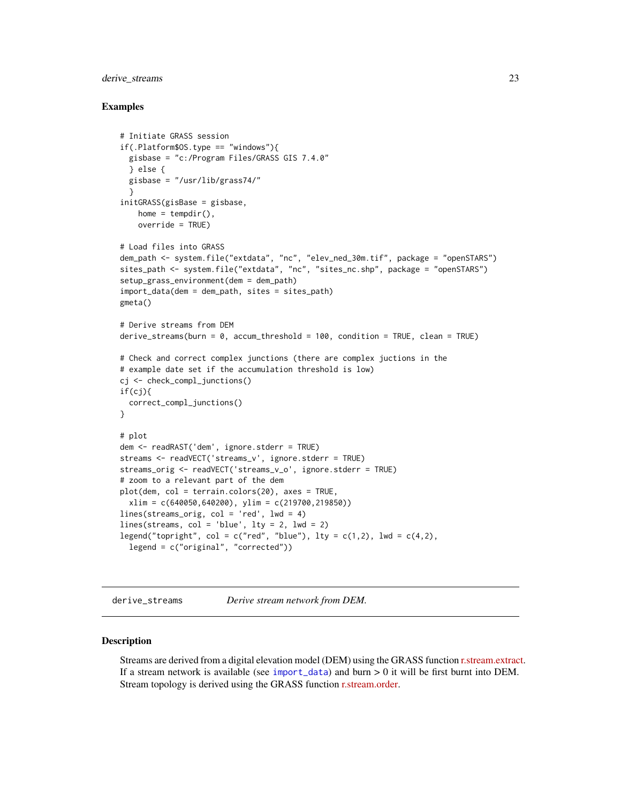# <span id="page-22-0"></span>derive\_streams 23

## Examples

```
# Initiate GRASS session
if(.Platform$0S.type == "windows")gisbase = "c:/Program Files/GRASS GIS 7.4.0"
  } else {
  gisbase = "/usr/lib/grass74/"
  }
initGRASS(gisBase = gisbase,
   home = tempdir(),
    override = TRUE)
# Load files into GRASS
dem_path <- system.file("extdata", "nc", "elev_ned_30m.tif", package = "openSTARS")
sites_path <- system.file("extdata", "nc", "sites_nc.shp", package = "openSTARS")
setup_grass_environment(dem = dem_path)
import_data(dem = dem_path, sites = sites_path)
gmeta()
# Derive streams from DEM
derive_streams(burn = 0, accum_threshold = 100, condition = TRUE, clean = TRUE)
# Check and correct complex junctions (there are complex juctions in the
# example date set if the accumulation threshold is low)
cj <- check_compl_junctions()
if(cj){
  correct_compl_junctions()
}
# plot
dem <- readRAST('dem', ignore.stderr = TRUE)
streams <- readVECT('streams_v', ignore.stderr = TRUE)
streams_orig <- readVECT('streams_v_o', ignore.stderr = TRUE)
# zoom to a relevant part of the dem
plot(dem, col = terrain.colors(20), axes = TRUE,
  xlim = c(640050, 640200), ylim = c(219700, 219850))lines(streams_orig, col = 'red', lwd = 4)
lines(streams, col = 'blue', lty = 2, lwd = 2)legend("topright", col = c("red", "blue"), \; lty = c(1,2), \; lwd = c(4,2),legend = c("original", "corrected"))
```
<span id="page-22-1"></span>derive\_streams *Derive stream network from DEM.*

#### Description

Streams are derived from a digital elevation model (DEM) using the GRASS function [r.stream.extract.](https://grass.osgeo.org/grass74/manuals/r.stream.extract.html) If a stream network is available (see [import\\_data](#page-26-1)) and burn  $> 0$  it will be first burnt into DEM. Stream topology is derived using the GRASS function [r.stream.order.](https://grass.osgeo.org/grass74/manuals/addons/r.stream.order.html)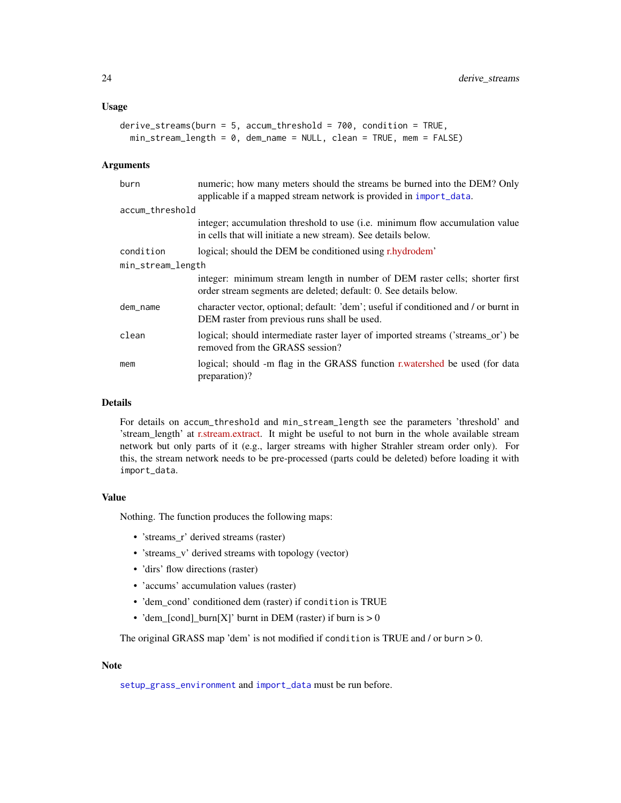#### <span id="page-23-0"></span>Usage

```
derive_streams(burn = 5, accum_threshold = 700, condition = TRUE,
 min_stream_length = 0, dem_name = NULL, clean = TRUE, mem = FALSE)
```
### Arguments

| burn              | numeric; how many meters should the streams be burned into the DEM? Only<br>applicable if a mapped stream network is provided in import_data.    |  |
|-------------------|--------------------------------------------------------------------------------------------------------------------------------------------------|--|
| accum_threshold   |                                                                                                                                                  |  |
|                   | integer; accumulation threshold to use (i.e. minimum flow accumulation value)<br>in cells that will initiate a new stream). See details below.   |  |
| condition         | logical; should the DEM be conditioned using r.hydrodem'                                                                                         |  |
| min_stream_length |                                                                                                                                                  |  |
|                   | integer: minimum stream length in number of DEM raster cells; shorter first<br>order stream segments are deleted; default: 0. See details below. |  |
| dem_name          | character vector, optional; default: 'dem'; useful if conditioned and / or burnt in<br>DEM raster from previous runs shall be used.              |  |
| clean             | logical; should intermediate raster layer of imported streams ('streams_or') be<br>removed from the GRASS session?                               |  |
| mem               | logical; should -m flag in the GRASS function r.watershed be used (for data<br>preparation)?                                                     |  |

# Details

For details on accum\_threshold and min\_stream\_length see the parameters 'threshold' and 'stream\_length' at [r.stream.extract.](https://grass.osgeo.org/grass74/manuals/r.stream.extract) It might be useful to not burn in the whole available stream network but only parts of it (e.g., larger streams with higher Strahler stream order only). For this, the stream network needs to be pre-processed (parts could be deleted) before loading it with import\_data.

#### Value

Nothing. The function produces the following maps:

- 'streams\_r' derived streams (raster)
- 'streams v' derived streams with topology (vector)
- 'dirs' flow directions (raster)
- 'accums' accumulation values (raster)
- 'dem\_cond' conditioned dem (raster) if condition is TRUE
- 'dem\_[cond]\_burn[X]' burnt in DEM (raster) if burn is  $> 0$

The original GRASS map 'dem' is not modified if condition is TRUE and / or burn > 0.

#### Note

[setup\\_grass\\_environment](#page-31-1) and [import\\_data](#page-26-1) must be run before.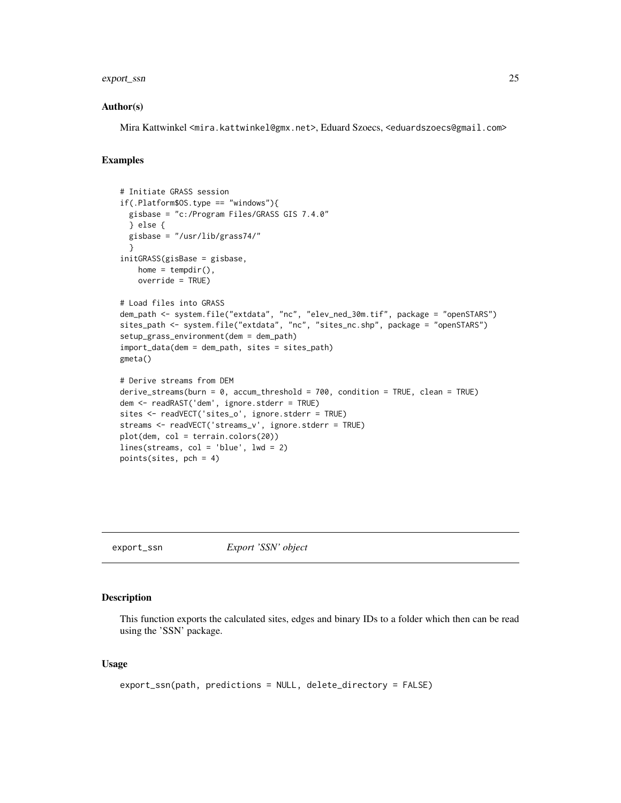# <span id="page-24-0"></span>export\_ssn 25

#### Author(s)

Mira Kattwinkel <mira.kattwinkel@gmx.net>, Eduard Szoecs, <eduardszoecs@gmail.com>

#### Examples

```
# Initiate GRASS session
if(.Platform$0S.type == "windows")gisbase = "c:/Program Files/GRASS GIS 7.4.0"
  } else {
  gisbase = "/usr/lib/grass74/"
  }
initGRASS(gisBase = gisbase,
   home = tempdir(),
   override = TRUE)
# Load files into GRASS
dem_path <- system.file("extdata", "nc", "elev_ned_30m.tif", package = "openSTARS")
sites_path <- system.file("extdata", "nc", "sites_nc.shp", package = "openSTARS")
setup_grass_environment(dem = dem_path)
import_data(dem = dem_path, sites = sites_path)
gmeta()
# Derive streams from DEM
derive_streams(burn = 0, accum_threshold = 700, condition = TRUE, clean = TRUE)
dem <- readRAST('dem', ignore.stderr = TRUE)
sites <- readVECT('sites_o', ignore.stderr = TRUE)
streams <- readVECT('streams_v', ignore.stderr = TRUE)
plot(dem, col = terrain.colors(20))
lines(streams, col = 'blue', lwd = 2)
points(sites, pch = 4)
```
<span id="page-24-1"></span>export\_ssn *Export 'SSN' object*

#### Description

This function exports the calculated sites, edges and binary IDs to a folder which then can be read using the 'SSN' package.

#### Usage

```
export_ssn(path, predictions = NULL, delete_directory = FALSE)
```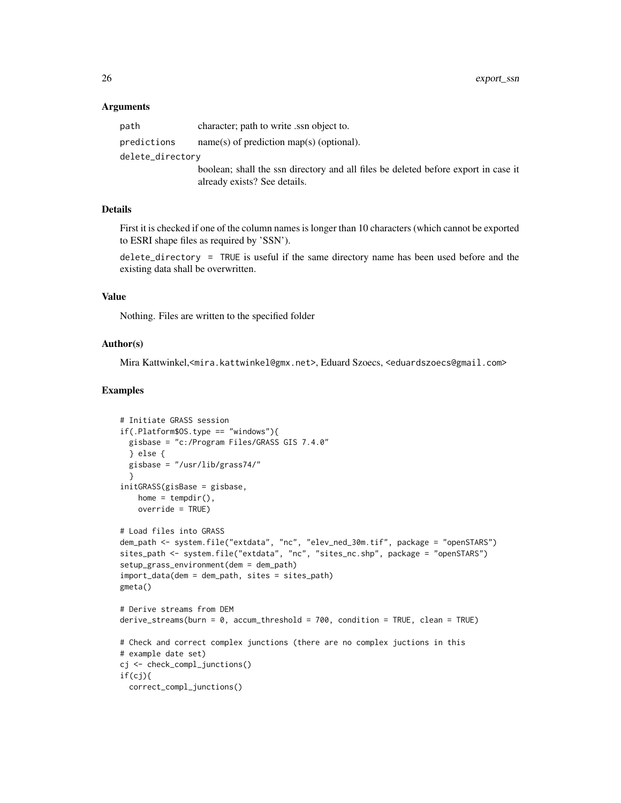# Arguments

| path             | character; path to write ssn object to.                                            |
|------------------|------------------------------------------------------------------------------------|
| predictions      | $name(s)$ of prediction map(s) (optional).                                         |
| delete_directory |                                                                                    |
|                  | boolean; shall the ssn directory and all files be deleted before export in case it |
|                  | already exists? See details.                                                       |

# Details

First it is checked if one of the column names is longer than 10 characters (which cannot be exported to ESRI shape files as required by 'SSN').

delete\_directory = TRUE is useful if the same directory name has been used before and the existing data shall be overwritten.

## Value

Nothing. Files are written to the specified folder

#### Author(s)

Mira Kattwinkel,<mira.kattwinkel@gmx.net>, Eduard Szoecs, <eduardszoecs@gmail.com>

```
# Initiate GRASS session
if(.Platform$0S.type == "windows")gisbase = "c:/Program Files/GRASS GIS 7.4.0"
  } else {
  gisbase = "/usr/lib/grass74/"
  }
initGRASS(gisBase = gisbase,
   home = tempdir(),
   override = TRUE)
# Load files into GRASS
dem_path <- system.file("extdata", "nc", "elev_ned_30m.tif", package = "openSTARS")
sites_path <- system.file("extdata", "nc", "sites_nc.shp", package = "openSTARS")
setup_grass_environment(dem = dem_path)
import_data(dem = dem_path, sites = sites_path)
gmeta()
# Derive streams from DEM
derive_streams(burn = 0, accum_threshold = 700, condition = TRUE, clean = TRUE)
# Check and correct complex junctions (there are no complex juctions in this
# example date set)
cj <- check_compl_junctions()
if(cj){
  correct_compl_junctions()
```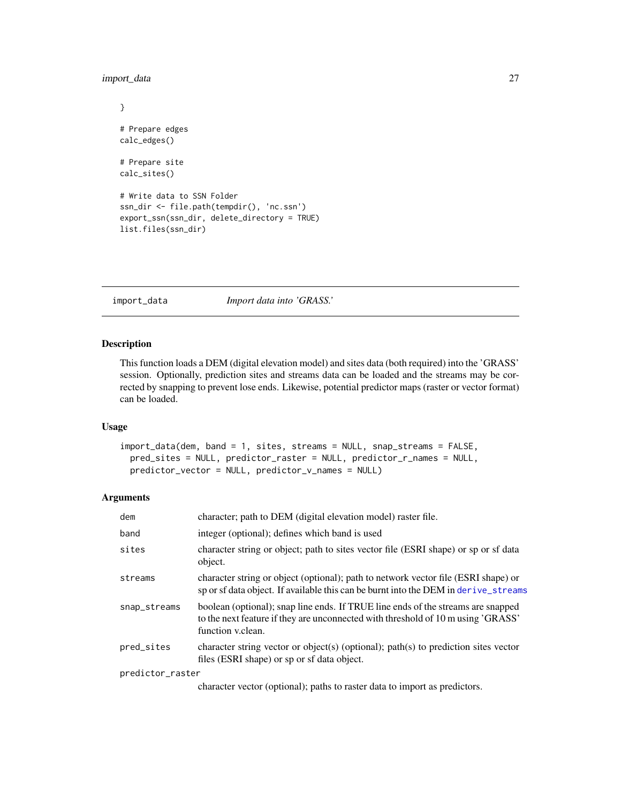<span id="page-26-0"></span>import\_data 27

```
}
# Prepare edges
calc_edges()
# Prepare site
calc_sites()
# Write data to SSN Folder
ssn_dir <- file.path(tempdir(), 'nc.ssn')
export_ssn(ssn_dir, delete_directory = TRUE)
list.files(ssn_dir)
```
<span id="page-26-1"></span>import\_data *Import data into 'GRASS.'*

# Description

This function loads a DEM (digital elevation model) and sites data (both required) into the 'GRASS' session. Optionally, prediction sites and streams data can be loaded and the streams may be corrected by snapping to prevent lose ends. Likewise, potential predictor maps (raster or vector format) can be loaded.

# Usage

```
import_data(dem, band = 1, sites, streams = NULL, snap_streams = FALSE,
 pred_sites = NULL, predictor_raster = NULL, predictor_r_names = NULL,
 predictor_vector = NULL, predictor_v_names = NULL)
```
## Arguments

| dem              | character; path to DEM (digital elevation model) raster file.                                                                                                                             |
|------------------|-------------------------------------------------------------------------------------------------------------------------------------------------------------------------------------------|
| band             | integer (optional); defines which band is used                                                                                                                                            |
| sites            | character string or object; path to sites vector file (ESRI shape) or sp or sf data<br>object.                                                                                            |
| streams          | character string or object (optional); path to network vector file (ESRI shape) or<br>sp or sf data object. If available this can be burnt into the DEM in derive_streams                 |
| snap_streams     | boolean (optional); snap line ends. If TRUE line ends of the streams are snapped<br>to the next feature if they are unconnected with threshold of 10 m using 'GRASS'<br>function v.clean. |
| pred_sites       | character string vector or object(s) (optional); path(s) to prediction sites vector<br>files (ESRI shape) or sp or sf data object.                                                        |
| predictor_raster |                                                                                                                                                                                           |
|                  |                                                                                                                                                                                           |

character vector (optional); paths to raster data to import as predictors.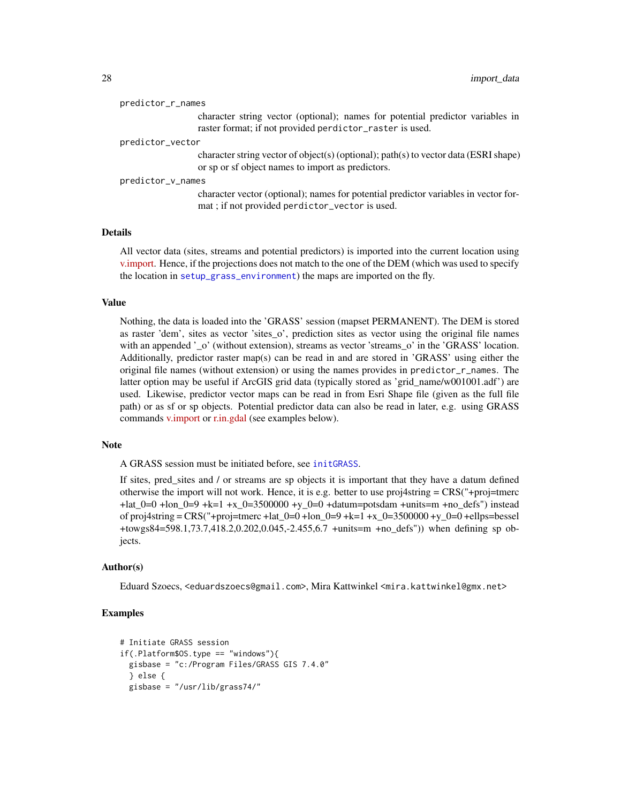|                   | character string vector (optional); names for potential predictor variables in<br>raster format; if not provided perdictor_raster is used. |
|-------------------|--------------------------------------------------------------------------------------------------------------------------------------------|
| predictor_vector  |                                                                                                                                            |
|                   | character string vector of object(s) (optional); path(s) to vector data (ESRI shape)<br>or sp or sf object names to import as predictors.  |
| predictor_v_names |                                                                                                                                            |
|                   | character vector (optional); names for potential predictor variables in vector for-<br>mat; if not provided perdictor_vector is used.      |
| stoile.           |                                                                                                                                            |

# Details

All vector data (sites, streams and potential predictors) is imported into the current location using [v.import.](https://grass.osgeo.org/grass74/manuals/v.import.html) Hence, if the projections does not match to the one of the DEM (which was used to specify the location in [setup\\_grass\\_environment](#page-31-1)) the maps are imported on the fly.

#### Value

Nothing, the data is loaded into the 'GRASS' session (mapset PERMANENT). The DEM is stored as raster 'dem', sites as vector 'sites\_o', prediction sites as vector using the original file names with an appended '\_o' (without extension), streams as vector 'streams\_o' in the 'GRASS' location. Additionally, predictor raster map(s) can be read in and are stored in 'GRASS' using either the original file names (without extension) or using the names provides in predictor\_r\_names. The latter option may be useful if ArcGIS grid data (typically stored as 'grid\_name/w001001.adf') are used. Likewise, predictor vector maps can be read in from Esri Shape file (given as the full file path) or as sf or sp objects. Potential predictor data can also be read in later, e.g. using GRASS commands [v.import](https://grass.osgeo.org/grass74/manuals/v.import.html) or [r.in.gdal](https://grass.osgeo.org/grass74/manuals/r.in.gdal.html) (see examples below).

## **Note**

A GRASS session must be initiated before, see [initGRASS](#page-0-0).

If sites, pred\_sites and / or streams are sp objects it is important that they have a datum defined otherwise the import will not work. Hence, it is e.g. better to use proj4string = CRS("+proj=tmerc  $+$ lat\_0=0 +lon\_0=9 +k=1 +x\_0=3500000 +y\_0=0 +datum=potsdam +units=m +no\_defs") instead of proj4string = CRS("+proj=tmerc +lat  $0=0$  +lon  $0=9 +k=1 +x$   $0=3500000 +y$   $0=0$  +ellps=bessel +towgs84=598.1,73.7,418.2,0.202,0.045,-2.455,6.7 +units=m +no\_defs")) when defining sp objects.

#### Author(s)

Eduard Szoecs, <eduardszoecs@gmail.com>, Mira Kattwinkel <mira.kattwinkel@gmx.net>

#### Examples

```
# Initiate GRASS session
if(.Platform$OS.type == "windows"){
 gisbase = "c:/Program Files/GRASS GIS 7.4.0"
 } else {
 gisbase = "/usr/lib/grass74/"
```
<span id="page-27-0"></span>predictor\_r\_names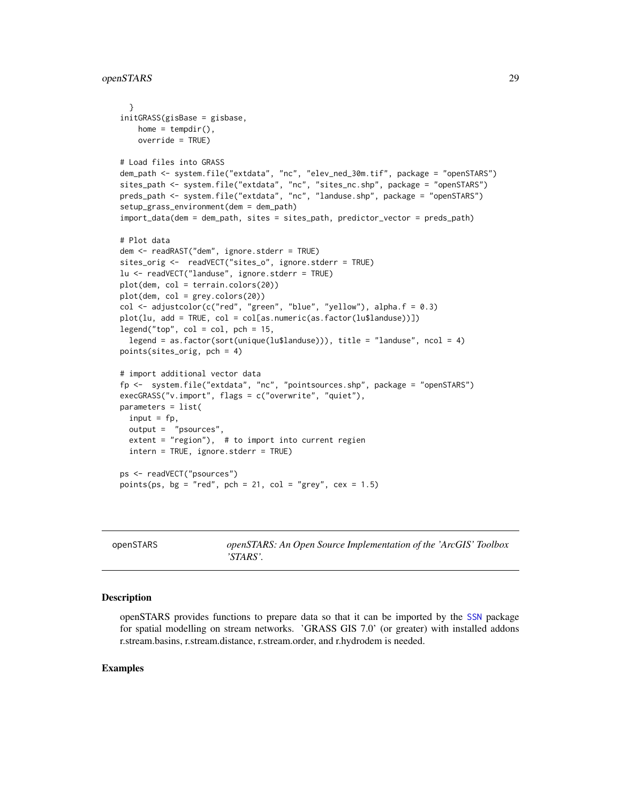```
}
initGRASS(gisBase = gisbase,
   home = tempdir(),
   override = TRUE)
# Load files into GRASS
dem_path <- system.file("extdata", "nc", "elev_ned_30m.tif", package = "openSTARS")
sites_path <- system.file("extdata", "nc", "sites_nc.shp", package = "openSTARS")
preds_path <- system.file("extdata", "nc", "landuse.shp", package = "openSTARS")
setup_grass_environment(dem = dem_path)
import_data(dem = dem_path, sites = sites_path, predictor_vector = preds_path)
# Plot data
dem <- readRAST("dem", ignore.stderr = TRUE)
sites_orig <- readVECT("sites_o", ignore.stderr = TRUE)
lu <- readVECT("landuse", ignore.stderr = TRUE)
plot(dem, col = terrain.colors(20))
plot(dem, col = grey.colors(20))
col \leq adjustcolor(c("red", "green", "blue", "yellow"), alpha.f = 0.3)
plot(lu, add = TRUE, col = col[as.numeric(as.factor(lu$landuse))])
legend("top", col = col, pch = 15,legend = as.factor(sort(unique(lu$landuse))), title = "landuse", ncol = 4)
points(sites_orig, pch = 4)
# import additional vector data
fp <- system.file("extdata", "nc", "pointsources.shp", package = "openSTARS")
execGRASS("v.import", flags = c("overwrite", "quiet"),
parameters = list(
 input = fp,
 output = "psources",
 extent = "region"), # to import into current regien
 intern = TRUE, ignore.stderr = TRUE)
ps <- readVECT("psources")
points(ps, bg = "red", pch = 21, col = "grey", cex = 1.5)
```
openSTARS *openSTARS: An Open Source Implementation of the 'ArcGIS' Toolbox 'STARS'.*

#### Description

openSTARS provides functions to prepare data so that it can be imported by the [SSN](#page-0-0) package for spatial modelling on stream networks. 'GRASS GIS 7.0' (or greater) with installed addons r.stream.basins, r.stream.distance, r.stream.order, and r.hydrodem is needed.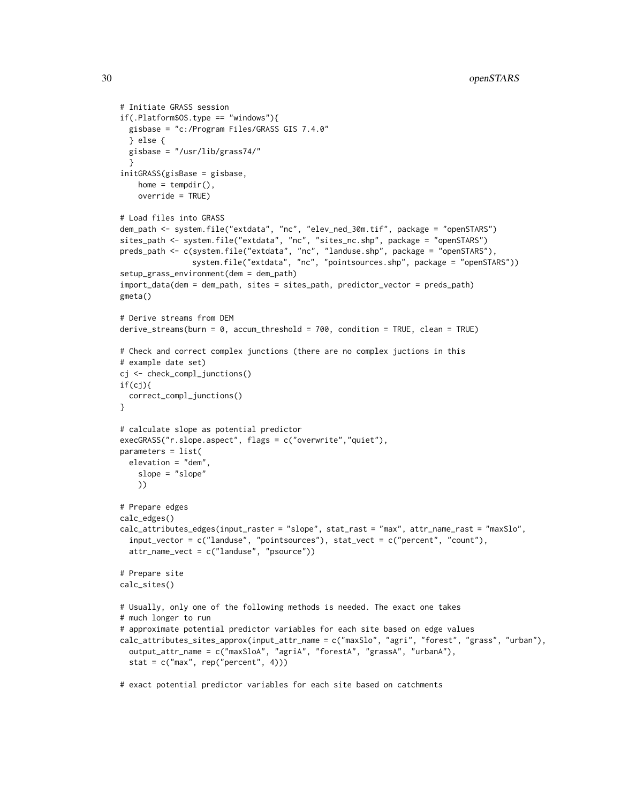```
# Initiate GRASS session
if(.Platform$0S.type == "windows")gisbase = "c:/Program Files/GRASS GIS 7.4.0"
 } else {
 gisbase = "/usr/lib/grass74/"
 }
initGRASS(gisBase = gisbase,
   home = tempdir(),
   override = TRUE)
# Load files into GRASS
dem_path <- system.file("extdata", "nc", "elev_ned_30m.tif", package = "openSTARS")
sites_path <- system.file("extdata", "nc", "sites_nc.shp", package = "openSTARS")
preds_path <- c(system.file("extdata", "nc", "landuse.shp", package = "openSTARS"),
                system.file("extdata", "nc", "pointsources.shp", package = "openSTARS"))
setup_grass_environment(dem = dem_path)
import_data(dem = dem_path, sites = sites_path, predictor_vector = preds_path)
gmeta()
# Derive streams from DEM
derive_streams(burn = 0, accum_threshold = 700, condition = TRUE, clean = TRUE)
# Check and correct complex junctions (there are no complex juctions in this
# example date set)
cj <- check_compl_junctions()
if(cj){
 correct_compl_junctions()
}
# calculate slope as potential predictor
execGRASS("r.slope.aspect", flags = c("overwrite","quiet"),
parameters = list(
 elevation = "dem",
    slope = "slope"
   ))
# Prepare edges
calc_edges()
calc_attributes_edges(input_raster = "slope", stat_rast = "max", attr_name_rast = "maxSlo",
  input_vector = c("landuse", "pointsources"), stat_vect = c("percent", "count"),
 attr_name_vect = c("landuse", "psource"))
# Prepare site
calc_sites()
# Usually, only one of the following methods is needed. The exact one takes
# much longer to run
# approximate potential predictor variables for each site based on edge values
calc_attributes_sites_approx(input_attr_name = c("maxSlo", "agri", "forest", "grass", "urban"),
 output_attr_name = c("maxSloA", "agriA", "forestA", "grassA", "urbanA"),
 stat = c("max", rep("percent", 4)))
```
# exact potential predictor variables for each site based on catchments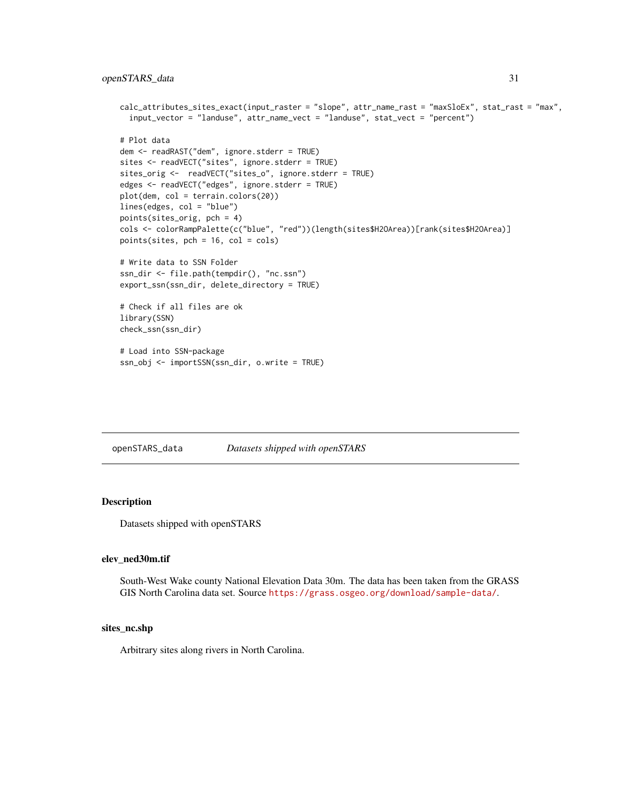```
calc_attributes_sites_exact(input_raster = "slope", attr_name_rast = "maxSloEx", stat_rast = "max",
 input_vector = "landuse", attr_name_vect = "landuse", stat_vect = "percent")
# Plot data
dem <- readRAST("dem", ignore.stderr = TRUE)
sites <- readVECT("sites", ignore.stderr = TRUE)
sites_orig <- readVECT("sites_o", ignore.stderr = TRUE)
edges <- readVECT("edges", ignore.stderr = TRUE)
plot(dem, col = terrain.colors(20))
lines(edges, col = "blue")
points(sites_orig, pch = 4)
cols <- colorRampPalette(c("blue", "red"))(length(sites$H2OArea))[rank(sites$H2OArea)]
points(sites, pch = 16, col = cols)# Write data to SSN Folder
ssn_dir <- file.path(tempdir(), "nc.ssn")
export_ssn(ssn_dir, delete_directory = TRUE)
# Check if all files are ok
library(SSN)
check_ssn(ssn_dir)
# Load into SSN-package
ssn_obj <- importSSN(ssn_dir, o.write = TRUE)
```
openSTARS\_data *Datasets shipped with openSTARS*

# Description

Datasets shipped with openSTARS

#### elev\_ned30m.tif

South-West Wake county National Elevation Data 30m. The data has been taken from the GRASS GIS North Carolina data set. Source <https://grass.osgeo.org/download/sample-data/>.

# sites\_nc.shp

Arbitrary sites along rivers in North Carolina.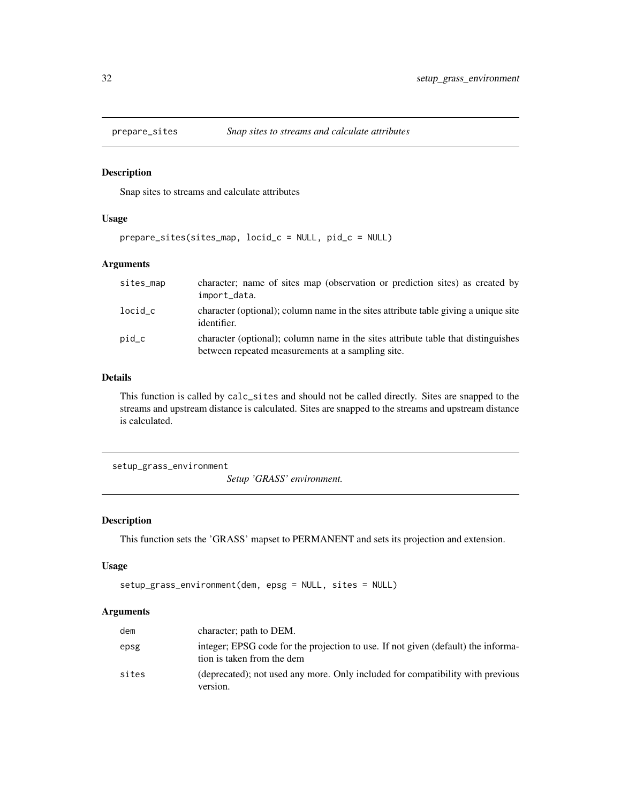<span id="page-31-0"></span>

# Description

Snap sites to streams and calculate attributes

# Usage

prepare\_sites(sites\_map, locid\_c = NULL, pid\_c = NULL)

# Arguments

| sites_map | character; name of sites map (observation or prediction sites) as created by<br>import_data.                                           |
|-----------|----------------------------------------------------------------------------------------------------------------------------------------|
| $locid_c$ | character (optional); column name in the sites attribute table giving a unique site<br>identifier.                                     |
| pid_c     | character (optional); column name in the sites attribute table that distinguishes<br>between repeated measurements at a sampling site. |

#### Details

This function is called by calc\_sites and should not be called directly. Sites are snapped to the streams and upstream distance is calculated. Sites are snapped to the streams and upstream distance is calculated.

<span id="page-31-1"></span>setup\_grass\_environment

*Setup 'GRASS' environment.*

# Description

This function sets the 'GRASS' mapset to PERMANENT and sets its projection and extension.

# Usage

```
setup_grass_environment(dem, epsg = NULL, sites = NULL)
```
#### Arguments

| dem   | character; path to DEM.                                                                                         |
|-------|-----------------------------------------------------------------------------------------------------------------|
| epsg  | integer; EPSG code for the projection to use. If not given (default) the informa-<br>tion is taken from the dem |
| sites | (deprecated); not used any more. Only included for compatibility with previous<br>version.                      |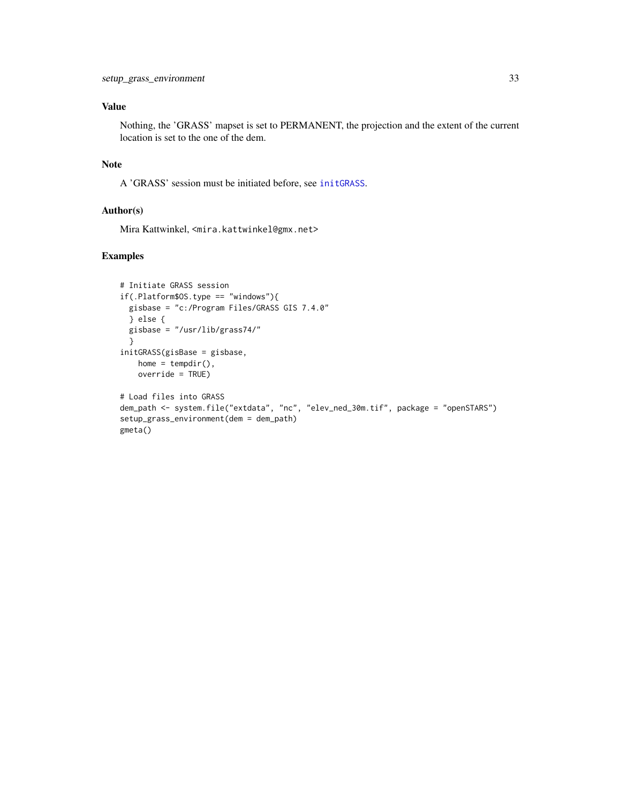# <span id="page-32-0"></span>Value

Nothing, the 'GRASS' mapset is set to PERMANENT, the projection and the extent of the current location is set to the one of the dem.

# Note

A 'GRASS' session must be initiated before, see [initGRASS](#page-0-0).

# Author(s)

Mira Kattwinkel, <mira.kattwinkel@gmx.net>

```
# Initiate GRASS session
if(.Platform$OS.type == "windows"){
  gisbase = "c:/Program Files/GRASS GIS 7.4.0"
  } else {
 gisbase = "/usr/lib/grass74/"
  }
initGRASS(gisBase = gisbase,
   home = tempdir(),
   override = TRUE)
# Load files into GRASS
dem_path <- system.file("extdata", "nc", "elev_ned_30m.tif", package = "openSTARS")
setup_grass_environment(dem = dem_path)
gmeta()
```